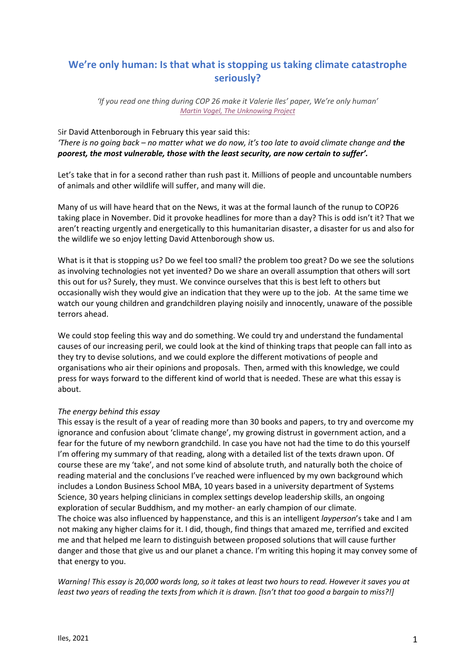# **We're only human: Is that what is stopping us taking climate catastrophe seriously?**

*'If you read one thing during COP 26 make it Valerie Iles' paper, We're only human' Martin Vogel, The Unknowing Project*

Sir David Attenborough in February this year said this: *'There is no going back – no matter what we do now, it's too late to avoid climate change and the poorest, the most vulnerable, those with the least security, are now certain to suffer'.*

Let's take that in for a second rather than rush past it. Millions of people and uncountable numbers of animals and other wildlife will suffer, and many will die.

Many of us will have heard that on the News, it was at the formal launch of the runup to COP26 taking place in November. Did it provoke headlines for more than a day? This is odd isn't it? That we aren't reacting urgently and energetically to this humanitarian disaster, a disaster for us and also for the wildlife we so enjoy letting David Attenborough show us.

What is it that is stopping us? Do we feel too small? the problem too great? Do we see the solutions as involving technologies not yet invented? Do we share an overall assumption that others will sort this out for us? Surely, they must. We convince ourselves that this is best left to others but occasionally wish they would give an indication that they were up to the job. At the same time we watch our young children and grandchildren playing noisily and innocently, unaware of the possible terrors ahead.

We could stop feeling this way and do something. We could try and understand the fundamental causes of our increasing peril, we could look at the kind of thinking traps that people can fall into as they try to devise solutions, and we could explore the different motivations of people and organisations who air their opinions and proposals. Then, armed with this knowledge, we could press for ways forward to the different kind of world that is needed. These are what this essay is about.

# *The energy behind this essay*

This essay is the result of a year of reading more than 30 books and papers, to try and overcome my ignorance and confusion about 'climate change', my growing distrust in government action, and a fear for the future of my newborn grandchild. In case you have not had the time to do this yourself I'm offering my summary of that reading, along with a detailed list of the texts drawn upon. Of course these are my 'take', and not some kind of absolute truth, and naturally both the choice of reading material and the conclusions I've reached were influenced by my own background which includes a London Business School MBA, 10 years based in a university department of Systems Science, 30 years helping clinicians in complex settings develop leadership skills, an ongoing exploration of secular Buddhism, and my mother- an early champion of our climate. The choice was also influenced by happenstance, and this is an intelligent *layperson*'s take and I am not making any higher claims for it. I did, though, find things that amazed me, terrified and excited me and that helped me learn to distinguish between proposed solutions that will cause further danger and those that give us and our planet a chance. I'm writing this hoping it may convey some of that energy to you.

*Warning! This essay is 20,000 words long, so it takes at least two hours to read. However it saves you at least two years* of r*eading the texts from which it is drawn. [Isn't that too good a bargain to miss?!]*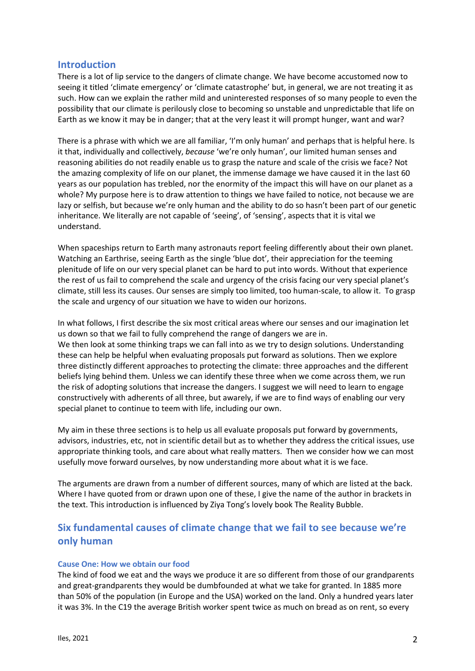# **Introduction**

There is a lot of lip service to the dangers of climate change. We have become accustomed now to seeing it titled 'climate emergency' or 'climate catastrophe' but, in general, we are not treating it as such. How can we explain the rather mild and uninterested responses of so many people to even the possibility that our climate is perilously close to becoming so unstable and unpredictable that life on Earth as we know it may be in danger; that at the very least it will prompt hunger, want and war?

There is a phrase with which we are all familiar, 'I'm only human' and perhaps that is helpful here. Is it that, individually and collectively, *because* 'we're only human', our limited human senses and reasoning abilities do not readily enable us to grasp the nature and scale of the crisis we face? Not the amazing complexity of life on our planet, the immense damage we have caused it in the last 60 years as our population has trebled, nor the enormity of the impact this will have on our planet as a whole? My purpose here is to draw attention to things we have failed to notice, not because we are lazy or selfish, but because we're only human and the ability to do so hasn't been part of our genetic inheritance. We literally are not capable of 'seeing', of 'sensing', aspects that it is vital we understand.

When spaceships return to Earth many astronauts report feeling differently about their own planet. Watching an Earthrise, seeing Earth as the single 'blue dot', their appreciation for the teeming plenitude of life on our very special planet can be hard to put into words. Without that experience the rest of us fail to comprehend the scale and urgency of the crisis facing our very special planet's climate, still less its causes. Our senses are simply too limited, too human-scale, to allow it. To grasp the scale and urgency of our situation we have to widen our horizons.

In what follows, I first describe the six most critical areas where our senses and our imagination let us down so that we fail to fully comprehend the range of dangers we are in. We then look at some thinking traps we can fall into as we try to design solutions. Understanding these can help be helpful when evaluating proposals put forward as solutions. Then we explore three distinctly different approaches to protecting the climate: three approaches and the different beliefs lying behind them. Unless we can identify these three when we come across them, we run the risk of adopting solutions that increase the dangers. I suggest we will need to learn to engage constructively with adherents of all three, but awarely, if we are to find ways of enabling our very special planet to continue to teem with life, including our own.

My aim in these three sections is to help us all evaluate proposals put forward by governments, advisors, industries, etc, not in scientific detail but as to whether they address the critical issues, use appropriate thinking tools, and care about what really matters. Then we consider how we can most usefully move forward ourselves, by now understanding more about what it is we face.

The arguments are drawn from a number of different sources, many of which are listed at the back. Where I have quoted from or drawn upon one of these, I give the name of the author in brackets in the text. This introduction is influenced by Ziya Tong's lovely book The Reality Bubble.

# **Six fundamental causes of climate change that we fail to see because we're only human**

## **Cause One: How we obtain our food**

The kind of food we eat and the ways we produce it are so different from those of our grandparents and great-grandparents they would be dumbfounded at what we take for granted. In 1885 more than 50% of the population (in Europe and the USA) worked on the land. Only a hundred years later it was 3%. In the C19 the average British worker spent twice as much on bread as on rent, so every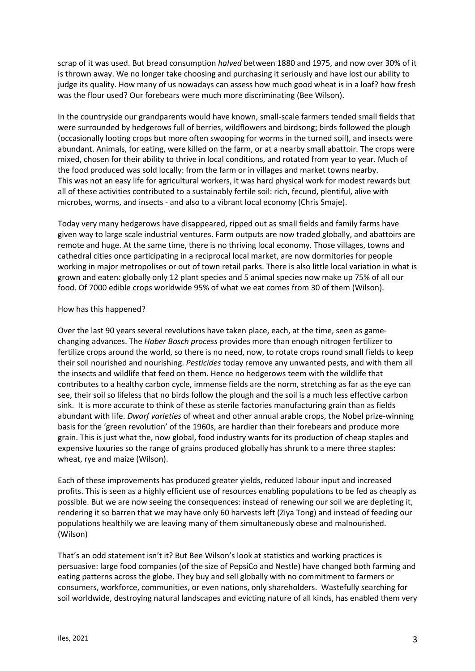scrap of it was used. But bread consumption *halved* between 1880 and 1975, and now over 30% of it is thrown away. We no longer take choosing and purchasing it seriously and have lost our ability to judge its quality. How many of us nowadays can assess how much good wheat is in a loaf? how fresh was the flour used? Our forebears were much more discriminating (Bee Wilson).

In the countryside our grandparents would have known, small-scale farmers tended small fields that were surrounded by hedgerows full of berries, wildflowers and birdsong; birds followed the plough (occasionally looting crops but more often swooping for worms in the turned soil), and insects were abundant. Animals, for eating, were killed on the farm, or at a nearby small abattoir. The crops were mixed, chosen for their ability to thrive in local conditions, and rotated from year to year. Much of the food produced was sold locally: from the farm or in villages and market towns nearby. This was not an easy life for agricultural workers, it was hard physical work for modest rewards but all of these activities contributed to a sustainably fertile soil: rich, fecund, plentiful, alive with microbes, worms, and insects - and also to a vibrant local economy (Chris Smaje).

Today very many hedgerows have disappeared, ripped out as small fields and family farms have given way to large scale industrial ventures. Farm outputs are now traded globally, and abattoirs are remote and huge. At the same time, there is no thriving local economy. Those villages, towns and cathedral cities once participating in a reciprocal local market, are now dormitories for people working in major metropolises or out of town retail parks. There is also little local variation in what is grown and eaten: globally only 12 plant species and 5 animal species now make up 75% of all our food. Of 7000 edible crops worldwide 95% of what we eat comes from 30 of them (Wilson).

## How has this happened?

Over the last 90 years several revolutions have taken place, each, at the time, seen as gamechanging advances. The *Haber Bosch process* provides more than enough nitrogen fertilizer to fertilize crops around the world, so there is no need, now, to rotate crops round small fields to keep their soil nourished and nourishing. *Pesticides* today remove any unwanted pests, and with them all the insects and wildlife that feed on them. Hence no hedgerows teem with the wildlife that contributes to a healthy carbon cycle, immense fields are the norm, stretching as far as the eye can see, their soil so lifeless that no birds follow the plough and the soil is a much less effective carbon sink. It is more accurate to think of these as sterile factories manufacturing grain than as fields abundant with life. *Dwarf varieties* of wheat and other annual arable crops, the Nobel prize-winning basis for the 'green revolution' of the 1960s, are hardier than their forebears and produce more grain. This is just what the, now global, food industry wants for its production of cheap staples and expensive luxuries so the range of grains produced globally has shrunk to a mere three staples: wheat, rye and maize (Wilson).

Each of these improvements has produced greater yields, reduced labour input and increased profits. This is seen as a highly efficient use of resources enabling populations to be fed as cheaply as possible. But we are now seeing the consequences: instead of renewing our soil we are depleting it, rendering it so barren that we may have only 60 harvests left (Ziya Tong) and instead of feeding our populations healthily we are leaving many of them simultaneously obese and malnourished. (Wilson)

That's an odd statement isn't it? But Bee Wilson's look at statistics and working practices is persuasive: large food companies (of the size of PepsiCo and Nestle) have changed both farming and eating patterns across the globe. They buy and sell globally with no commitment to farmers or consumers, workforce, communities, or even nations, only shareholders. Wastefully searching for soil worldwide, destroying natural landscapes and evicting nature of all kinds, has enabled them very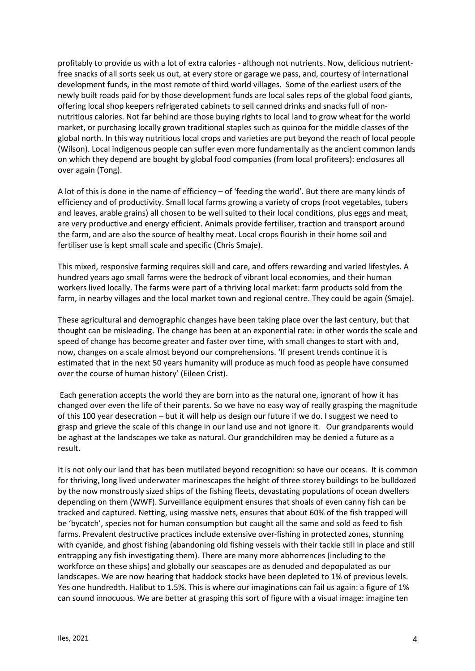profitably to provide us with a lot of extra calories - although not nutrients. Now, delicious nutrientfree snacks of all sorts seek us out, at every store or garage we pass, and, courtesy of international development funds, in the most remote of third world villages. Some of the earliest users of the newly built roads paid for by those development funds are local sales reps of the global food giants, offering local shop keepers refrigerated cabinets to sell canned drinks and snacks full of nonnutritious calories. Not far behind are those buying rights to local land to grow wheat for the world market, or purchasing locally grown traditional staples such as quinoa for the middle classes of the global north. In this way nutritious local crops and varieties are put beyond the reach of local people (Wilson). Local indigenous people can suffer even more fundamentally as the ancient common lands on which they depend are bought by global food companies (from local profiteers): enclosures all over again (Tong).

A lot of this is done in the name of efficiency – of 'feeding the world'. But there are many kinds of efficiency and of productivity. Small local farms growing a variety of crops (root vegetables, tubers and leaves, arable grains) all chosen to be well suited to their local conditions, plus eggs and meat, are very productive and energy efficient. Animals provide fertiliser, traction and transport around the farm, and are also the source of healthy meat. Local crops flourish in their home soil and fertiliser use is kept small scale and specific (Chris Smaje).

This mixed, responsive farming requires skill and care, and offers rewarding and varied lifestyles. A hundred years ago small farms were the bedrock of vibrant local economies, and their human workers lived locally. The farms were part of a thriving local market: farm products sold from the farm, in nearby villages and the local market town and regional centre. They could be again (Smaje).

These agricultural and demographic changes have been taking place over the last century, but that thought can be misleading. The change has been at an exponential rate: in other words the scale and speed of change has become greater and faster over time, with small changes to start with and, now, changes on a scale almost beyond our comprehensions. 'If present trends continue it is estimated that in the next 50 years humanity will produce as much food as people have consumed over the course of human history' (Eileen Crist).

Each generation accepts the world they are born into as the natural one, ignorant of how it has changed over even the life of their parents. So we have no easy way of really grasping the magnitude of this 100 year desecration – but it will help us design our future if we do. I suggest we need to grasp and grieve the scale of this change in our land use and not ignore it. Our grandparents would be aghast at the landscapes we take as natural. Our grandchildren may be denied a future as a result.

It is not only our land that has been mutilated beyond recognition: so have our oceans. It is common for thriving, long lived underwater marinescapes the height of three storey buildings to be bulldozed by the now monstrously sized ships of the fishing fleets, devastating populations of ocean dwellers depending on them (WWF). Surveillance equipment ensures that shoals of even canny fish can be tracked and captured. Netting, using massive nets, ensures that about 60% of the fish trapped will be 'bycatch', species not for human consumption but caught all the same and sold as feed to fish farms. Prevalent destructive practices include extensive over-fishing in protected zones, stunning with cyanide, and ghost fishing (abandoning old fishing vessels with their tackle still in place and still entrapping any fish investigating them). There are many more abhorrences (including to the workforce on these ships) and globally our seascapes are as denuded and depopulated as our landscapes. We are now hearing that haddock stocks have been depleted to 1% of previous levels. Yes one hundredth. Halibut to 1.5%. This is where our imaginations can fail us again: a figure of 1% can sound innocuous. We are better at grasping this sort of figure with a visual image: imagine ten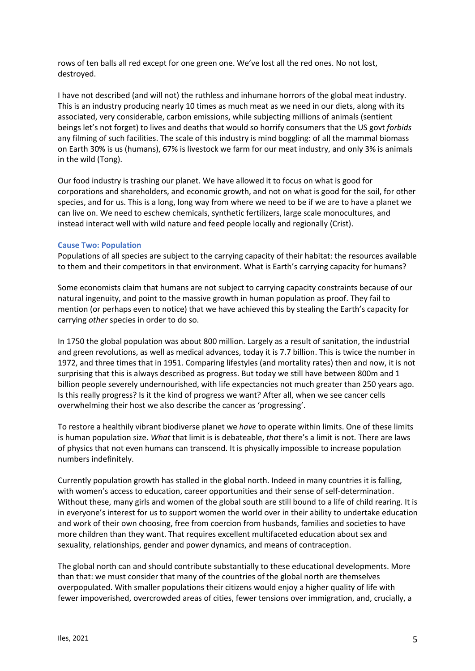rows of ten balls all red except for one green one. We've lost all the red ones. No not lost, destroyed.

I have not described (and will not) the ruthless and inhumane horrors of the global meat industry. This is an industry producing nearly 10 times as much meat as we need in our diets, along with its associated, very considerable, carbon emissions, while subjecting millions of animals (sentient beings let's not forget) to lives and deaths that would so horrify consumers that the US govt *forbids* any filming of such facilities. The scale of this industry is mind boggling: of all the mammal biomass on Earth 30% is us (humans), 67% is livestock we farm for our meat industry, and only 3% is animals in the wild (Tong).

Our food industry is trashing our planet. We have allowed it to focus on what is good for corporations and shareholders, and economic growth, and not on what is good for the soil, for other species, and for us. This is a long, long way from where we need to be if we are to have a planet we can live on. We need to eschew chemicals, synthetic fertilizers, large scale monocultures, and instead interact well with wild nature and feed people locally and regionally (Crist).

## **Cause Two: Population**

Populations of all species are subject to the carrying capacity of their habitat: the resources available to them and their competitors in that environment. What is Earth's carrying capacity for humans?

Some economists claim that humans are not subject to carrying capacity constraints because of our natural ingenuity, and point to the massive growth in human population as proof. They fail to mention (or perhaps even to notice) that we have achieved this by stealing the Earth's capacity for carrying *other* species in order to do so.

In 1750 the global population was about 800 million. Largely as a result of sanitation, the industrial and green revolutions, as well as medical advances, today it is 7.7 billion. This is twice the number in 1972, and three times that in 1951. Comparing lifestyles (and mortality rates) then and now, it is not surprising that this is always described as progress. But today we still have between 800m and 1 billion people severely undernourished, with life expectancies not much greater than 250 years ago. Is this really progress? Is it the kind of progress we want? After all, when we see cancer cells overwhelming their host we also describe the cancer as 'progressing'.

To restore a healthily vibrant biodiverse planet we *have* to operate within limits. One of these limits is human population size. *What* that limit is is debateable, *that* there's a limit is not. There are laws of physics that not even humans can transcend. It is physically impossible to increase population numbers indefinitely.

Currently population growth has stalled in the global north. Indeed in many countries it is falling, with women's access to education, career opportunities and their sense of self-determination. Without these, many girls and women of the global south are still bound to a life of child rearing. It is in everyone's interest for us to support women the world over in their ability to undertake education and work of their own choosing, free from coercion from husbands, families and societies to have more children than they want. That requires excellent multifaceted education about sex and sexuality, relationships, gender and power dynamics, and means of contraception.

The global north can and should contribute substantially to these educational developments. More than that: we must consider that many of the countries of the global north are themselves overpopulated. With smaller populations their citizens would enjoy a higher quality of life with fewer impoverished, overcrowded areas of cities, fewer tensions over immigration, and, crucially, a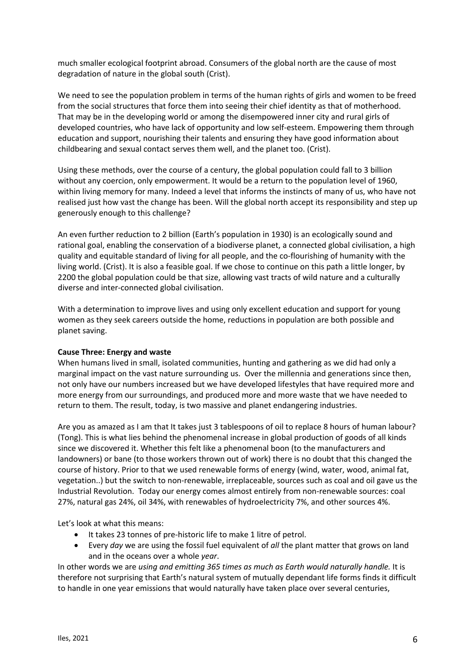much smaller ecological footprint abroad. Consumers of the global north are the cause of most degradation of nature in the global south (Crist).

We need to see the population problem in terms of the human rights of girls and women to be freed from the social structures that force them into seeing their chief identity as that of motherhood. That may be in the developing world or among the disempowered inner city and rural girls of developed countries, who have lack of opportunity and low self-esteem. Empowering them through education and support, nourishing their talents and ensuring they have good information about childbearing and sexual contact serves them well, and the planet too. (Crist).

Using these methods, over the course of a century, the global population could fall to 3 billion without any coercion, only empowerment. It would be a return to the population level of 1960, within living memory for many. Indeed a level that informs the instincts of many of us, who have not realised just how vast the change has been. Will the global north accept its responsibility and step up generously enough to this challenge?

An even further reduction to 2 billion (Earth's population in 1930) is an ecologically sound and rational goal, enabling the conservation of a biodiverse planet, a connected global civilisation, a high quality and equitable standard of living for all people, and the co-flourishing of humanity with the living world. (Crist). It is also a feasible goal. If we chose to continue on this path a little longer, by 2200 the global population could be that size, allowing vast tracts of wild nature and a culturally diverse and inter-connected global civilisation.

With a determination to improve lives and using only excellent education and support for young women as they seek careers outside the home, reductions in population are both possible and planet saving.

## **Cause Three: Energy and waste**

When humans lived in small, isolated communities, hunting and gathering as we did had only a marginal impact on the vast nature surrounding us. Over the millennia and generations since then, not only have our numbers increased but we have developed lifestyles that have required more and more energy from our surroundings, and produced more and more waste that we have needed to return to them. The result, today, is two massive and planet endangering industries.

Are you as amazed as I am that It takes just 3 tablespoons of oil to replace 8 hours of human labour? (Tong). This is what lies behind the phenomenal increase in global production of goods of all kinds since we discovered it. Whether this felt like a phenomenal boon (to the manufacturers and landowners) or bane (to those workers thrown out of work) there is no doubt that this changed the course of history. Prior to that we used renewable forms of energy (wind, water, wood, animal fat, vegetation..) but the switch to non-renewable, irreplaceable, sources such as coal and oil gave us the Industrial Revolution. Today our energy comes almost entirely from non-renewable sources: coal 27%, natural gas 24%, oil 34%, with renewables of hydroelectricity 7%, and other sources 4%.

Let's look at what this means:

- It takes 23 tonnes of pre-historic life to make 1 litre of petrol.
- Every *day* we are using the fossil fuel equivalent of *all* the plant matter that grows on land and in the oceans over a whole *year*.

In other words we are *using and emitting 365 times as much as Earth would naturally handle.* It is therefore not surprising that Earth's natural system of mutually dependant life forms finds it difficult to handle in one year emissions that would naturally have taken place over several centuries,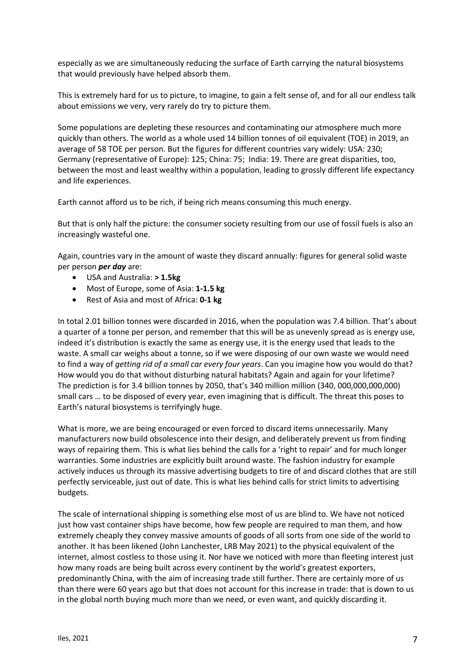especially as we are simultaneously reducing the surface of Earth carrying the natural biosystems that would previously have helped absorb them.

This is extremely hard for us to picture, to imagine, to gain a felt sense of, and for all our endless talk about emissions we very, very rarely do try to picture them.

Some populations are depleting these resources and contaminating our atmosphere much more quickly than others. The world as a whole used 14 billion tonnes of oil equivalent (TOE) in 2019, an average of 58 TOE per person. But the figures for different countries vary widely: USA: 230; Germany (representative of Europe): 125; China: 75; India: 19. There are great disparities, too, between the most and least wealthy within a population, leading to grossly different life expectancy and life experiences.

Earth cannot afford us to be rich, if being rich means consuming this much energy.

But that is only half the picture: the consumer society resulting from our use of fossil fuels is also an increasingly wasteful one.

Again, countries vary in the amount of waste they discard annually: figures for general solid waste per person *per day* are:

- USA and Australia: **> 1.5kg**
- Most of Europe, some of Asia: **1-1.5 kg**
- Rest of Asia and most of Africa: **0-1 kg**

In total 2.01 billion tonnes were discarded in 2016, when the population was 7.4 billion. That's about a quarter of a tonne per person, and remember that this will be as unevenly spread as is energy use, indeed it's distribution is exactly the same as energy use, it is the energy used that leads to the waste. A small car weighs about a tonne, so if we were disposing of our own waste we would need to find a way of *getting rid of a small car every four years*. Can you imagine how you would do that? How would you do that without disturbing natural habitats? Again and again for your lifetime? The prediction is for 3.4 billion tonnes by 2050, that's 340 million million (340, 000,000,000,000) small cars … to be disposed of every year, even imagining that is difficult. The threat this poses to Earth's natural biosystems is terrifyingly huge.

What is more, we are being encouraged or even forced to discard items unnecessarily. Many manufacturers now build obsolescence into their design, and deliberately prevent us from finding ways of repairing them. This is what lies behind the calls for a 'right to repair' and for much longer warranties. Some industries are explicitly built around waste. The fashion industry for example actively induces us through its massive advertising budgets to tire of and discard clothes that are still perfectly serviceable, just out of date. This is what lies behind calls for strict limits to advertising budgets.

The scale of international shipping is something else most of us are blind to. We have not noticed just how vast container ships have become, how few people are required to man them, and how extremely cheaply they convey massive amounts of goods of all sorts from one side of the world to another. It has been likened (John Lanchester, LRB May 2021) to the physical equivalent of the internet, almost costless to those using it. Nor have we noticed with more than fleeting interest just how many roads are being built across every continent by the world's greatest exporters, predominantly China, with the aim of increasing trade still further. There are certainly more of us than there were 60 years ago but that does not account for this increase in trade: that is down to us in the global north buying much more than we need, or even want, and quickly discarding it.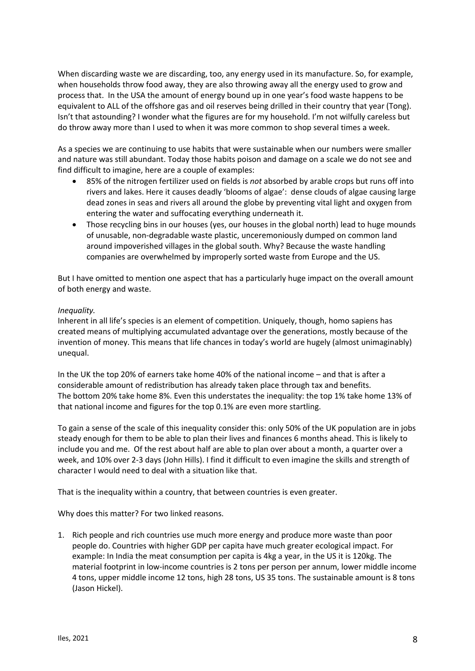When discarding waste we are discarding, too, any energy used in its manufacture. So, for example, when households throw food away, they are also throwing away all the energy used to grow and process that. In the USA the amount of energy bound up in one year's food waste happens to be equivalent to ALL of the offshore gas and oil reserves being drilled in their country that year (Tong). Isn't that astounding? I wonder what the figures are for my household. I'm not wilfully careless but do throw away more than I used to when it was more common to shop several times a week.

As a species we are continuing to use habits that were sustainable when our numbers were smaller and nature was still abundant. Today those habits poison and damage on a scale we do not see and find difficult to imagine, here are a couple of examples:

- 85% of the nitrogen fertilizer used on fields is *not* absorbed by arable crops but runs off into rivers and lakes. Here it causes deadly 'blooms of algae': dense clouds of algae causing large dead zones in seas and rivers all around the globe by preventing vital light and oxygen from entering the water and suffocating everything underneath it.
- Those recycling bins in our houses (yes, our houses in the global north) lead to huge mounds of unusable, non-degradable waste plastic, unceremoniously dumped on common land around impoverished villages in the global south. Why? Because the waste handling companies are overwhelmed by improperly sorted waste from Europe and the US.

But I have omitted to mention one aspect that has a particularly huge impact on the overall amount of both energy and waste.

## *Inequality.*

Inherent in all life's species is an element of competition. Uniquely, though, homo sapiens has created means of multiplying accumulated advantage over the generations, mostly because of the invention of money. This means that life chances in today's world are hugely (almost unimaginably) unequal.

In the UK the top 20% of earners take home 40% of the national income – and that is after a considerable amount of redistribution has already taken place through tax and benefits. The bottom 20% take home 8%. Even this understates the inequality: the top 1% take home 13% of that national income and figures for the top 0.1% are even more startling.

To gain a sense of the scale of this inequality consider this: only 50% of the UK population are in jobs steady enough for them to be able to plan their lives and finances 6 months ahead. This is likely to include you and me. Of the rest about half are able to plan over about a month, a quarter over a week, and 10% over 2-3 days (John Hills). I find it difficult to even imagine the skills and strength of character I would need to deal with a situation like that.

That is the inequality within a country, that between countries is even greater.

Why does this matter? For two linked reasons.

1. Rich people and rich countries use much more energy and produce more waste than poor people do. Countries with higher GDP per capita have much greater ecological impact. For example: In India the meat consumption per capita is 4kg a year, in the US it is 120kg. The material footprint in low-income countries is 2 tons per person per annum, lower middle income 4 tons, upper middle income 12 tons, high 28 tons, US 35 tons. The sustainable amount is 8 tons (Jason Hickel).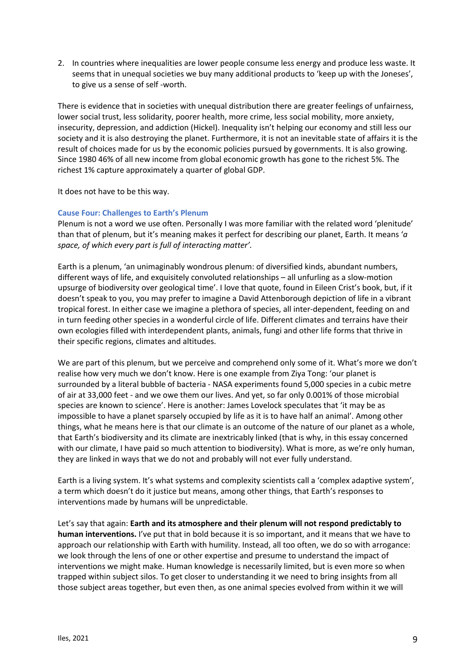2. In countries where inequalities are lower people consume less energy and produce less waste. It seems that in unequal societies we buy many additional products to 'keep up with the Joneses', to give us a sense of self -worth.

There is evidence that in societies with unequal distribution there are greater feelings of unfairness, lower social trust, less solidarity, poorer health, more crime, less social mobility, more anxiety, insecurity, depression, and addiction (Hickel). Inequality isn't helping our economy and still less our society and it is also destroying the planet. Furthermore, it is not an inevitable state of affairs it is the result of choices made for us by the economic policies pursued by governments. It is also growing. Since 1980 46% of all new income from global economic growth has gone to the richest 5%. The richest 1% capture approximately a quarter of global GDP.

It does not have to be this way.

## **Cause Four: Challenges to Earth's Plenum**

Plenum is not a word we use often. Personally I was more familiar with the related word 'plenitude' than that of plenum, but it's meaning makes it perfect for describing our planet, Earth. It means '*a space, of which every part is full of interacting matter'.* 

Earth is a plenum, 'an unimaginably wondrous plenum: of diversified kinds, abundant numbers, different ways of life, and exquisitely convoluted relationships – all unfurling as a slow-motion upsurge of biodiversity over geological time'. I love that quote, found in Eileen Crist's book, but, if it doesn't speak to you, you may prefer to imagine a David Attenborough depiction of life in a vibrant tropical forest. In either case we imagine a plethora of species, all inter-dependent, feeding on and in turn feeding other species in a wonderful circle of life. Different climates and terrains have their own ecologies filled with interdependent plants, animals, fungi and other life forms that thrive in their specific regions, climates and altitudes.

We are part of this plenum, but we perceive and comprehend only some of it. What's more we don't realise how very much we don't know. Here is one example from Ziya Tong: 'our planet is surrounded by a literal bubble of bacteria - NASA experiments found 5,000 species in a cubic metre of air at 33,000 feet - and we owe them our lives. And yet, so far only 0.001% of those microbial species are known to science'. Here is another: James Lovelock speculates that 'it may be as impossible to have a planet sparsely occupied by life as it is to have half an animal'. Among other things, what he means here is that our climate is an outcome of the nature of our planet as a whole, that Earth's biodiversity and its climate are inextricably linked (that is why, in this essay concerned with our climate, I have paid so much attention to biodiversity). What is more, as we're only human, they are linked in ways that we do not and probably will not ever fully understand.

Earth is a living system. It's what systems and complexity scientists call a 'complex adaptive system', a term which doesn't do it justice but means, among other things, that Earth's responses to interventions made by humans will be unpredictable.

Let's say that again: **Earth and its atmosphere and their plenum will not respond predictably to human interventions.** I've put that in bold because it is so important, and it means that we have to approach our relationship with Earth with humility. Instead, all too often, we do so with arrogance: we look through the lens of one or other expertise and presume to understand the impact of interventions we might make. Human knowledge is necessarily limited, but is even more so when trapped within subject silos. To get closer to understanding it we need to bring insights from all those subject areas together, but even then, as one animal species evolved from within it we will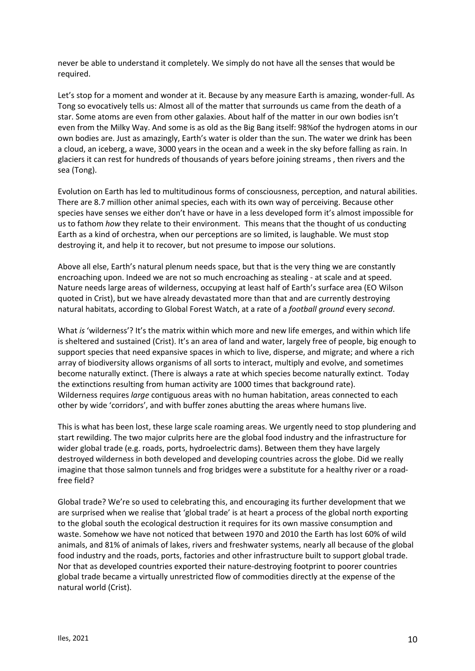never be able to understand it completely. We simply do not have all the senses that would be required.

Let's stop for a moment and wonder at it. Because by any measure Earth is amazing, wonder-full. As Tong so evocatively tells us: Almost all of the matter that surrounds us came from the death of a star. Some atoms are even from other galaxies. About half of the matter in our own bodies isn't even from the Milky Way. And some is as old as the Big Bang itself: 98%of the hydrogen atoms in our own bodies are. Just as amazingly, Earth's water is older than the sun. The water we drink has been a cloud, an iceberg, a wave, 3000 years in the ocean and a week in the sky before falling as rain. In glaciers it can rest for hundreds of thousands of years before joining streams , then rivers and the sea (Tong).

Evolution on Earth has led to multitudinous forms of consciousness, perception, and natural abilities. There are 8.7 million other animal species, each with its own way of perceiving. Because other species have senses we either don't have or have in a less developed form it's almost impossible for us to fathom *how* they relate to their environment. This means that the thought of us conducting Earth as a kind of orchestra, when our perceptions are so limited, is laughable. We must stop destroying it, and help it to recover, but not presume to impose our solutions.

Above all else, Earth's natural plenum needs space, but that is the very thing we are constantly encroaching upon. Indeed we are not so much encroaching as stealing - at scale and at speed. Nature needs large areas of wilderness, occupying at least half of Earth's surface area (EO Wilson quoted in Crist), but we have already devastated more than that and are currently destroying natural habitats, according to Global Forest Watch, at a rate of a *football ground* every *second*.

What *is* 'wilderness'? It's the matrix within which more and new life emerges, and within which life is sheltered and sustained (Crist). It's an area of land and water, largely free of people, big enough to support species that need expansive spaces in which to live, disperse, and migrate; and where a rich array of biodiversity allows organisms of all sorts to interact, multiply and evolve, and sometimes become naturally extinct. (There is always a rate at which species become naturally extinct. Today the extinctions resulting from human activity are 1000 times that background rate). Wilderness requires *large* contiguous areas with no human habitation, areas connected to each other by wide 'corridors', and with buffer zones abutting the areas where humans live.

This is what has been lost, these large scale roaming areas. We urgently need to stop plundering and start rewilding. The two major culprits here are the global food industry and the infrastructure for wider global trade (e.g. roads, ports, hydroelectric dams). Between them they have largely destroyed wilderness in both developed and developing countries across the globe. Did we really imagine that those salmon tunnels and frog bridges were a substitute for a healthy river or a roadfree field?

Global trade? We're so used to celebrating this, and encouraging its further development that we are surprised when we realise that 'global trade' is at heart a process of the global north exporting to the global south the ecological destruction it requires for its own massive consumption and waste. Somehow we have not noticed that between 1970 and 2010 the Earth has lost 60% of wild animals, and 81% of animals of lakes, rivers and freshwater systems, nearly all because of the global food industry and the roads, ports, factories and other infrastructure built to support global trade. Nor that as developed countries exported their nature-destroying footprint to poorer countries global trade became a virtually unrestricted flow of commodities directly at the expense of the natural world (Crist).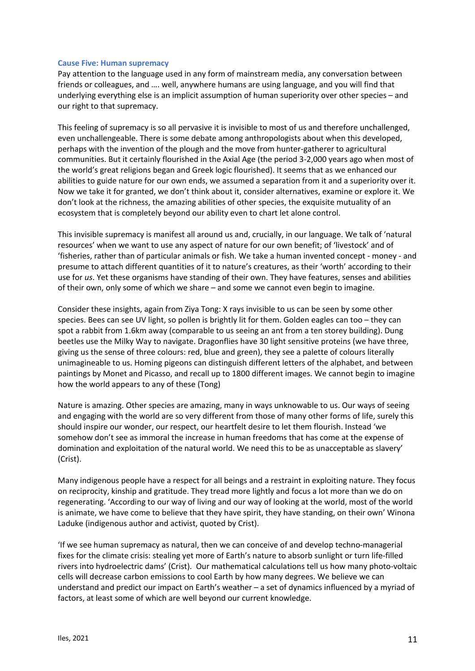#### **Cause Five: Human supremacy**

Pay attention to the language used in any form of mainstream media, any conversation between friends or colleagues, and …. well, anywhere humans are using language, and you will find that underlying everything else is an implicit assumption of human superiority over other species – and our right to that supremacy.

This feeling of supremacy is so all pervasive it is invisible to most of us and therefore unchallenged, even unchallengeable. There is some debate among anthropologists about when this developed, perhaps with the invention of the plough and the move from hunter-gatherer to agricultural communities. But it certainly flourished in the Axial Age (the period 3-2,000 years ago when most of the world's great religions began and Greek logic flourished). It seems that as we enhanced our abilities to guide nature for our own ends, we assumed a separation from it and a superiority over it. Now we take it for granted, we don't think about it, consider alternatives, examine or explore it. We don't look at the richness, the amazing abilities of other species, the exquisite mutuality of an ecosystem that is completely beyond our ability even to chart let alone control.

This invisible supremacy is manifest all around us and, crucially, in our language. We talk of 'natural resources' when we want to use any aspect of nature for our own benefit; of 'livestock' and of 'fisheries, rather than of particular animals or fish. We take a human invented concept - money - and presume to attach different quantities of it to nature's creatures, as their 'worth' according to their use for *us*. Yet these organisms have standing of their own. They have features, senses and abilities of their own, only some of which we share – and some we cannot even begin to imagine.

Consider these insights, again from Ziya Tong: X rays invisible to us can be seen by some other species. Bees can see UV light, so pollen is brightly lit for them. Golden eagles can too – they can spot a rabbit from 1.6km away (comparable to us seeing an ant from a ten storey building). Dung beetles use the Milky Way to navigate. Dragonflies have 30 light sensitive proteins (we have three, giving us the sense of three colours: red, blue and green), they see a palette of colours literally unimagineable to us. Homing pigeons can distinguish different letters of the alphabet, and between paintings by Monet and Picasso, and recall up to 1800 different images. We cannot begin to imagine how the world appears to any of these (Tong)

Nature is amazing. Other species are amazing, many in ways unknowable to us. Our ways of seeing and engaging with the world are so very different from those of many other forms of life, surely this should inspire our wonder, our respect, our heartfelt desire to let them flourish. Instead 'we somehow don't see as immoral the increase in human freedoms that has come at the expense of domination and exploitation of the natural world. We need this to be as unacceptable as slavery' (Crist).

Many indigenous people have a respect for all beings and a restraint in exploiting nature. They focus on reciprocity, kinship and gratitude. They tread more lightly and focus a lot more than we do on regenerating. 'According to our way of living and our way of looking at the world, most of the world is animate, we have come to believe that they have spirit, they have standing, on their own' Winona Laduke (indigenous author and activist, quoted by Crist).

'If we see human supremacy as natural, then we can conceive of and develop techno-managerial fixes for the climate crisis: stealing yet more of Earth's nature to absorb sunlight or turn life-filled rivers into hydroelectric dams' (Crist). Our mathematical calculations tell us how many photo-voltaic cells will decrease carbon emissions to cool Earth by how many degrees. We believe we can understand and predict our impact on Earth's weather – a set of dynamics influenced by a myriad of factors, at least some of which are well beyond our current knowledge.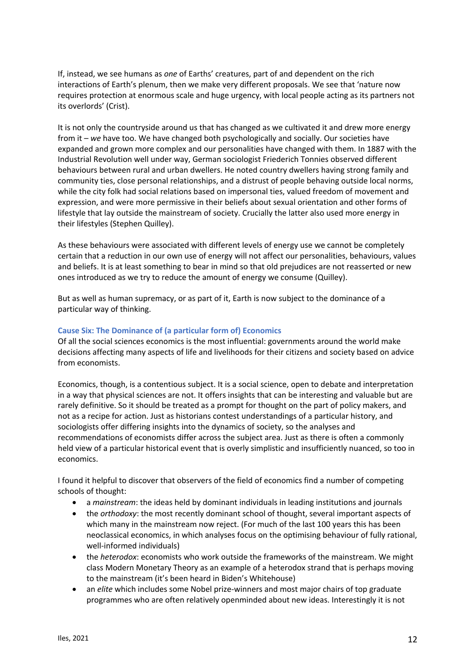If, instead, we see humans as *one* of Earths' creatures, part of and dependent on the rich interactions of Earth's plenum, then we make very different proposals. We see that 'nature now requires protection at enormous scale and huge urgency, with local people acting as its partners not its overlords' (Crist).

It is not only the countryside around us that has changed as we cultivated it and drew more energy from it – *we* have too. We have changed both psychologically and socially. Our societies have expanded and grown more complex and our personalities have changed with them. In 1887 with the Industrial Revolution well under way, German sociologist Friederich Tonnies observed different behaviours between rural and urban dwellers. He noted country dwellers having strong family and community ties, close personal relationships, and a distrust of people behaving outside local norms, while the city folk had social relations based on impersonal ties, valued freedom of movement and expression, and were more permissive in their beliefs about sexual orientation and other forms of lifestyle that lay outside the mainstream of society. Crucially the latter also used more energy in their lifestyles (Stephen Quilley).

As these behaviours were associated with different levels of energy use we cannot be completely certain that a reduction in our own use of energy will not affect our personalities, behaviours, values and beliefs. It is at least something to bear in mind so that old prejudices are not reasserted or new ones introduced as we try to reduce the amount of energy we consume (Quilley).

But as well as human supremacy, or as part of it, Earth is now subject to the dominance of a particular way of thinking.

## **Cause Six: The Dominance of (a particular form of) Economics**

Of all the social sciences economics is the most influential: governments around the world make decisions affecting many aspects of life and livelihoods for their citizens and society based on advice from economists.

Economics, though, is a contentious subject. It is a social science, open to debate and interpretation in a way that physical sciences are not. It offers insights that can be interesting and valuable but are rarely definitive. So it should be treated as a prompt for thought on the part of policy makers, and not as a recipe for action. Just as historians contest understandings of a particular history, and sociologists offer differing insights into the dynamics of society, so the analyses and recommendations of economists differ across the subject area. Just as there is often a commonly held view of a particular historical event that is overly simplistic and insufficiently nuanced, so too in economics.

I found it helpful to discover that observers of the field of economics find a number of competing schools of thought:

- a *mainstream*: the ideas held by dominant individuals in leading institutions and journals
- the *orthodoxy*: the most recently dominant school of thought, several important aspects of which many in the mainstream now reject. (For much of the last 100 years this has been neoclassical economics, in which analyses focus on the optimising behaviour of fully rational, well-informed individuals)
- the *heterodox*: economists who work outside the frameworks of the mainstream. We might class Modern Monetary Theory as an example of a heterodox strand that is perhaps moving to the mainstream (it's been heard in Biden's Whitehouse)
- an *elite* which includes some Nobel prize-winners and most major chairs of top graduate programmes who are often relatively openminded about new ideas. Interestingly it is not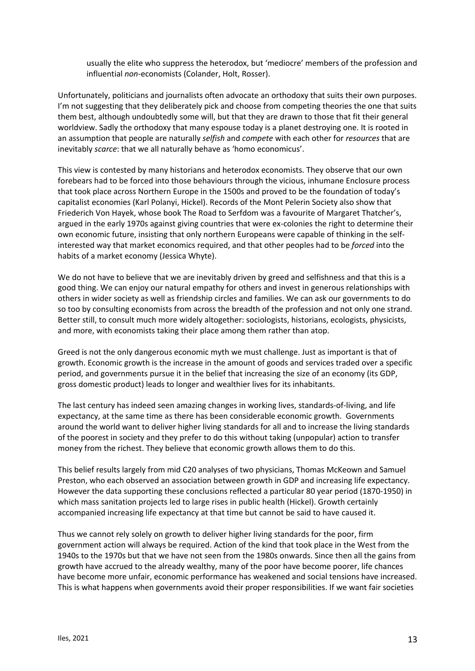usually the elite who suppress the heterodox, but 'mediocre' members of the profession and influential *non*-economists (Colander, Holt, Rosser).

Unfortunately, politicians and journalists often advocate an orthodoxy that suits their own purposes. I'm not suggesting that they deliberately pick and choose from competing theories the one that suits them best, although undoubtedly some will, but that they are drawn to those that fit their general worldview. Sadly the orthodoxy that many espouse today is a planet destroying one. It is rooted in an assumption that people are naturally *selfish* and *compete* with each other for *resources* that are inevitably *scarce*: that we all naturally behave as 'homo economicus'.

This view is contested by many historians and heterodox economists. They observe that our own forebears had to be forced into those behaviours through the vicious, inhumane Enclosure process that took place across Northern Europe in the 1500s and proved to be the foundation of today's capitalist economies (Karl Polanyi, Hickel). Records of the Mont Pelerin Society also show that Friederich Von Hayek, whose book The Road to Serfdom was a favourite of Margaret Thatcher's, argued in the early 1970s against giving countries that were ex-colonies the right to determine their own economic future, insisting that only northern Europeans were capable of thinking in the selfinterested way that market economics required, and that other peoples had to be *forced* into the habits of a market economy (Jessica Whyte).

We do not have to believe that we are inevitably driven by greed and selfishness and that this is a good thing. We can enjoy our natural empathy for others and invest in generous relationships with others in wider society as well as friendship circles and families. We can ask our governments to do so too by consulting economists from across the breadth of the profession and not only one strand. Better still, to consult much more widely altogether: sociologists, historians, ecologists, physicists, and more, with economists taking their place among them rather than atop.

Greed is not the only dangerous economic myth we must challenge. Just as important is that of growth. Economic growth is the increase in the amount of goods and services traded over a specific period, and governments pursue it in the belief that increasing the size of an economy (its GDP, gross domestic product) leads to longer and wealthier lives for its inhabitants.

The last century has indeed seen amazing changes in working lives, standards-of-living, and life expectancy, at the same time as there has been considerable economic growth. Governments around the world want to deliver higher living standards for all and to increase the living standards of the poorest in society and they prefer to do this without taking (unpopular) action to transfer money from the richest. They believe that economic growth allows them to do this.

This belief results largely from mid C20 analyses of two physicians, Thomas McKeown and Samuel Preston, who each observed an association between growth in GDP and increasing life expectancy. However the data supporting these conclusions reflected a particular 80 year period (1870-1950) in which mass sanitation projects led to large rises in public health (Hickel). Growth certainly accompanied increasing life expectancy at that time but cannot be said to have caused it.

Thus we cannot rely solely on growth to deliver higher living standards for the poor, firm government action will always be required. Action of the kind that took place in the West from the 1940s to the 1970s but that we have not seen from the 1980s onwards. Since then all the gains from growth have accrued to the already wealthy, many of the poor have become poorer, life chances have become more unfair, economic performance has weakened and social tensions have increased. This is what happens when governments avoid their proper responsibilities. If we want fair societies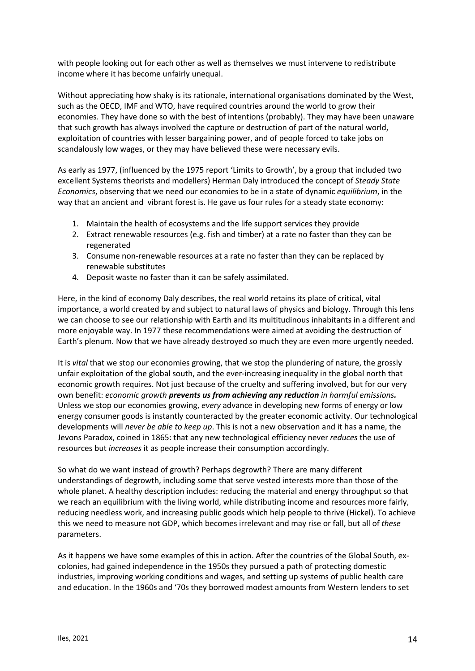with people looking out for each other as well as themselves we must intervene to redistribute income where it has become unfairly unequal.

Without appreciating how shaky is its rationale, international organisations dominated by the West, such as the OECD, IMF and WTO, have required countries around the world to grow their economies. They have done so with the best of intentions (probably). They may have been unaware that such growth has always involved the capture or destruction of part of the natural world, exploitation of countries with lesser bargaining power, and of people forced to take jobs on scandalously low wages, or they may have believed these were necessary evils.

As early as 1977, (influenced by the 1975 report 'Limits to Growth', by a group that included two excellent Systems theorists and modellers) Herman Daly introduced the concept of *Steady State Economics*, observing that we need our economies to be in a state of dynamic *equilibrium*, in the way that an ancient and vibrant forest is. He gave us four rules for a steady state economy:

- 1. Maintain the health of ecosystems and the life support services they provide
- 2. Extract renewable resources (e.g. fish and timber) at a rate no faster than they can be regenerated
- 3. Consume non-renewable resources at a rate no faster than they can be replaced by renewable substitutes
- 4. Deposit waste no faster than it can be safely assimilated.

Here, in the kind of economy Daly describes, the real world retains its place of critical, vital importance, a world created by and subject to natural laws of physics and biology. Through this lens we can choose to see our relationship with Earth and its multitudinous inhabitants in a different and more enjoyable way. In 1977 these recommendations were aimed at avoiding the destruction of Earth's plenum. Now that we have already destroyed so much they are even more urgently needed.

It is *vital* that we stop our economies growing, that we stop the plundering of nature, the grossly unfair exploitation of the global south, and the ever-increasing inequality in the global north that economic growth requires. Not just because of the cruelty and suffering involved, but for our very own benefit: *economic growth prevents us from achieving any reduction in harmful emissions.* Unless we stop our economies growing, *every* advance in developing new forms of energy or low energy consumer goods is instantly counteracted by the greater economic activity. Our technological developments will *never be able to keep up*. This is not a new observation and it has a name, the Jevons Paradox, coined in 1865: that any new technological efficiency never *reduces* the use of resources but *increases* it as people increase their consumption accordingly.

So what do we want instead of growth? Perhaps degrowth? There are many different understandings of degrowth, including some that serve vested interests more than those of the whole planet. A healthy description includes: reducing the material and energy throughput so that we reach an equilibrium with the living world, while distributing income and resources more fairly, reducing needless work, and increasing public goods which help people to thrive (Hickel). To achieve this we need to measure not GDP, which becomes irrelevant and may rise or fall, but all of *these* parameters.

As it happens we have some examples of this in action. After the countries of the Global South, excolonies, had gained independence in the 1950s they pursued a path of protecting domestic industries, improving working conditions and wages, and setting up systems of public health care and education. In the 1960s and '70s they borrowed modest amounts from Western lenders to set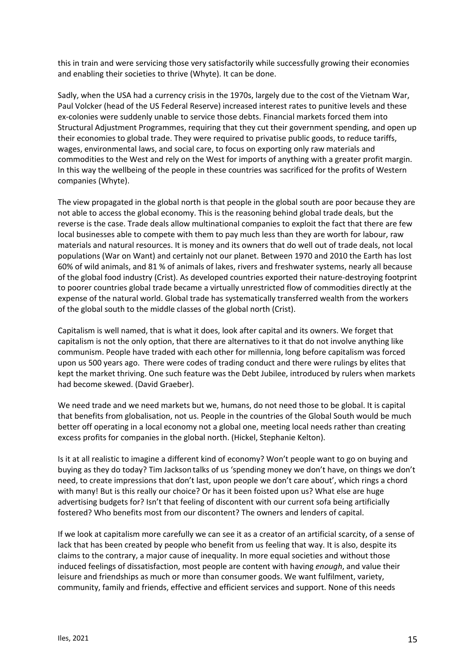this in train and were servicing those very satisfactorily while successfully growing their economies and enabling their societies to thrive (Whyte). It can be done.

Sadly, when the USA had a currency crisis in the 1970s, largely due to the cost of the Vietnam War, Paul Volcker (head of the US Federal Reserve) increased interest rates to punitive levels and these ex-colonies were suddenly unable to service those debts. Financial markets forced them into Structural Adjustment Programmes, requiring that they cut their government spending, and open up their economies to global trade. They were required to privatise public goods, to reduce tariffs, wages, environmental laws, and social care, to focus on exporting only raw materials and commodities to the West and rely on the West for imports of anything with a greater profit margin. In this way the wellbeing of the people in these countries was sacrificed for the profits of Western companies (Whyte).

The view propagated in the global north is that people in the global south are poor because they are not able to access the global economy. This is the reasoning behind global trade deals, but the reverse is the case. Trade deals allow multinational companies to exploit the fact that there are few local businesses able to compete with them to pay much less than they are worth for labour, raw materials and natural resources. It is money and its owners that do well out of trade deals, not local populations (War on Want) and certainly not our planet. Between 1970 and 2010 the Earth has lost 60% of wild animals, and 81 % of animals of lakes, rivers and freshwater systems, nearly all because of the global food industry (Crist). As developed countries exported their nature-destroying footprint to poorer countries global trade became a virtually unrestricted flow of commodities directly at the expense of the natural world. Global trade has systematically transferred wealth from the workers of the global south to the middle classes of the global north (Crist).

Capitalism is well named, that is what it does, look after capital and its owners. We forget that capitalism is not the only option, that there are alternatives to it that do not involve anything like communism. People have traded with each other for millennia, long before capitalism was forced upon us 500 years ago. There were codes of trading conduct and there were rulings by elites that kept the market thriving. One such feature was the Debt Jubilee, introduced by rulers when markets had become skewed. (David Graeber).

We need trade and we need markets but we, humans, do not need those to be global. It is capital that benefits from globalisation, not us. People in the countries of the Global South would be much better off operating in a local economy not a global one, meeting local needs rather than creating excess profits for companies in the global north. (Hickel, Stephanie Kelton).

Is it at all realistic to imagine a different kind of economy? Won't people want to go on buying and buying as they do today? Tim Jackson talks of us 'spending money we don't have, on things we don't need, to create impressions that don't last, upon people we don't care about', which rings a chord with many! But is this really our choice? Or has it been foisted upon us? What else are huge advertising budgets for? Isn't that feeling of discontent with our current sofa being artificially fostered? Who benefits most from our discontent? The owners and lenders of capital.

If we look at capitalism more carefully we can see it as a creator of an artificial scarcity, of a sense of lack that has been created by people who benefit from us feeling that way. It is also, despite its claims to the contrary, a major cause of inequality. In more equal societies and without those induced feelings of dissatisfaction, most people are content with having *enough*, and value their leisure and friendships as much or more than consumer goods. We want fulfilment, variety, community, family and friends, effective and efficient services and support. None of this needs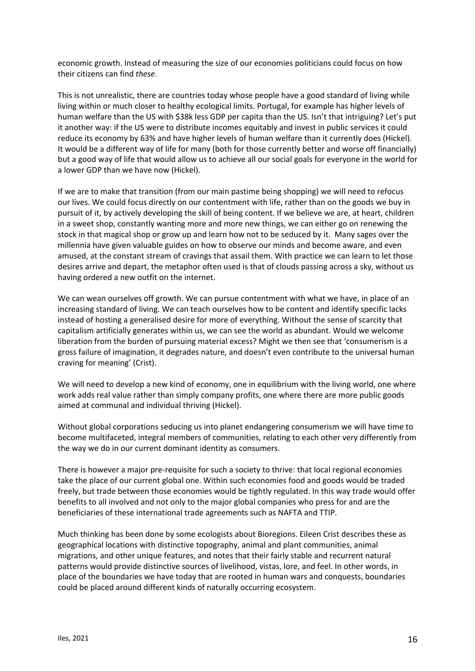economic growth. Instead of measuring the size of our economies politicians could focus on how their citizens can find *these*.

This is not unrealistic, there are countries today whose people have a good standard of living while living within or much closer to healthy ecological limits. Portugal, for example has higher levels of human welfare than the US with \$38k less GDP per capita than the US. Isn't that intriguing? Let's put it another way: if the US were to distribute incomes equitably and invest in public services it could reduce its economy by 63% and have higher levels of human welfare than it currently does (Hickel). It would be a different way of life for many (both for those currently better and worse off financially) but a good way of life that would allow us to achieve all our social goals for everyone in the world for a lower GDP than we have now (Hickel).

If we are to make that transition (from our main pastime being shopping) we will need to refocus our lives. We could focus directly on our contentment with life, rather than on the goods we buy in pursuit of it, by actively developing the skill of being content. If we believe we are, at heart, children in a sweet shop, constantly wanting more and more new things, we can either go on renewing the stock in that magical shop or grow up and learn how not to be seduced by it. Many sages over the millennia have given valuable guides on how to observe our minds and become aware, and even amused, at the constant stream of cravings that assail them. With practice we can learn to let those desires arrive and depart, the metaphor often used is that of clouds passing across a sky, without us having ordered a new outfit on the internet.

We can wean ourselves off growth. We can pursue contentment with what we have, in place of an increasing standard of living. We can teach ourselves how to be content and identify specific lacks instead of hosting a generalised desire for more of everything. Without the sense of scarcity that capitalism artificially generates within us, we can see the world as abundant. Would we welcome liberation from the burden of pursuing material excess? Might we then see that 'consumerism is a gross failure of imagination, it degrades nature, and doesn't even contribute to the universal human craving for meaning' (Crist).

We will need to develop a new kind of economy, one in equilibrium with the living world, one where work adds real value rather than simply company profits, one where there are more public goods aimed at communal and individual thriving (Hickel).

Without global corporations seducing us into planet endangering consumerism we will have time to become multifaceted, integral members of communities, relating to each other very differently from the way we do in our current dominant identity as consumers.

There is however a major pre-requisite for such a society to thrive: that local regional economies take the place of our current global one. Within such economies food and goods would be traded freely, but trade between those economies would be tightly regulated. In this way trade would offer benefits to all involved and not only to the major global companies who press for and are the beneficiaries of these international trade agreements such as NAFTA and TTIP.

Much thinking has been done by some ecologists about Bioregions. Eileen Crist describes these as geographical locations with distinctive topography, animal and plant communities, animal migrations, and other unique features, and notes that their fairly stable and recurrent natural patterns would provide distinctive sources of livelihood, vistas, lore, and feel. In other words, in place of the boundaries we have today that are rooted in human wars and conquests, boundaries could be placed around different kinds of naturally occurring ecosystem.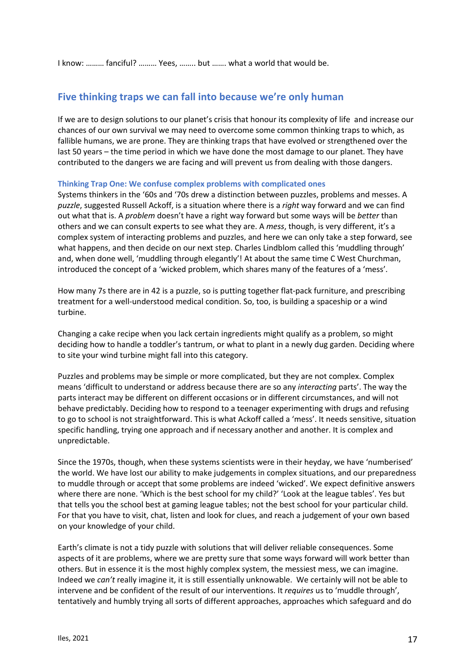I know: ……… fanciful? ……… Yees, …….. but ……. what a world that would be.

# **Five thinking traps we can fall into because we're only human**

If we are to design solutions to our planet's crisis that honour its complexity of life and increase our chances of our own survival we may need to overcome some common thinking traps to which, as fallible humans, we are prone. They are thinking traps that have evolved or strengthened over the last 50 years – the time period in which we have done the most damage to our planet. They have contributed to the dangers we are facing and will prevent us from dealing with those dangers.

## **Thinking Trap One: We confuse complex problems with complicated ones**

Systems thinkers in the '60s and '70s drew a distinction between puzzles, problems and messes. A *puzzle*, suggested Russell Ackoff, is a situation where there is a *right* way forward and we can find out what that is. A *problem* doesn't have a right way forward but some ways will be *better* than others and we can consult experts to see what they are. A *mess*, though, is very different, it's a complex system of interacting problems and puzzles, and here we can only take a step forward, see what happens, and then decide on our next step. Charles Lindblom called this 'muddling through' and, when done well, 'muddling through elegantly'! At about the same time C West Churchman, introduced the concept of a 'wicked problem, which shares many of the features of a 'mess'.

How many 7s there are in 42 is a puzzle, so is putting together flat-pack furniture, and prescribing treatment for a well-understood medical condition. So, too, is building a spaceship or a wind turbine.

Changing a cake recipe when you lack certain ingredients might qualify as a problem, so might deciding how to handle a toddler's tantrum, or what to plant in a newly dug garden. Deciding where to site your wind turbine might fall into this category.

Puzzles and problems may be simple or more complicated, but they are not complex. Complex means 'difficult to understand or address because there are so any *interacting* parts'. The way the parts interact may be different on different occasions or in different circumstances, and will not behave predictably. Deciding how to respond to a teenager experimenting with drugs and refusing to go to school is not straightforward. This is what Ackoff called a 'mess'. It needs sensitive, situation specific handling, trying one approach and if necessary another and another. It is complex and unpredictable.

Since the 1970s, though, when these systems scientists were in their heyday, we have 'numberised' the world. We have lost our ability to make judgements in complex situations, and our preparedness to muddle through or accept that some problems are indeed 'wicked'. We expect definitive answers where there are none. 'Which is the best school for my child?' 'Look at the league tables'. Yes but that tells you the school best at gaming league tables; not the best school for your particular child. For that you have to visit, chat, listen and look for clues, and reach a judgement of your own based on your knowledge of your child.

Earth's climate is not a tidy puzzle with solutions that will deliver reliable consequences. Some aspects of it are problems, where we are pretty sure that some ways forward will work better than others. But in essence it is the most highly complex system, the messiest mess, we can imagine. Indeed we *can't* really imagine it, it is still essentially unknowable. We certainly will not be able to intervene and be confident of the result of our interventions. It *requires* us to 'muddle through', tentatively and humbly trying all sorts of different approaches, approaches which safeguard and do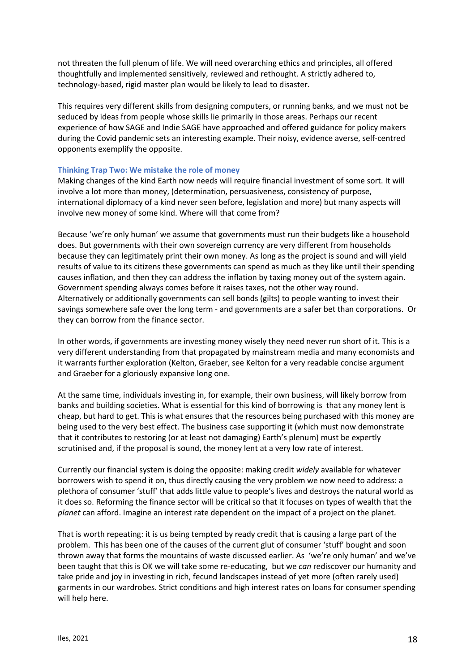not threaten the full plenum of life. We will need overarching ethics and principles, all offered thoughtfully and implemented sensitively, reviewed and rethought. A strictly adhered to, technology-based, rigid master plan would be likely to lead to disaster.

This requires very different skills from designing computers, or running banks, and we must not be seduced by ideas from people whose skills lie primarily in those areas. Perhaps our recent experience of how SAGE and Indie SAGE have approached and offered guidance for policy makers during the Covid pandemic sets an interesting example. Their noisy, evidence averse, self-centred opponents exemplify the opposite.

#### **Thinking Trap Two: We mistake the role of money**

Making changes of the kind Earth now needs will require financial investment of some sort. It will involve a lot more than money, (determination, persuasiveness, consistency of purpose, international diplomacy of a kind never seen before, legislation and more) but many aspects will involve new money of some kind. Where will that come from?

Because 'we're only human' we assume that governments must run their budgets like a household does. But governments with their own sovereign currency are very different from households because they can legitimately print their own money. As long as the project is sound and will yield results of value to its citizens these governments can spend as much as they like until their spending causes inflation, and then they can address the inflation by taxing money out of the system again. Government spending always comes before it raises taxes, not the other way round. Alternatively or additionally governments can sell bonds (gilts) to people wanting to invest their savings somewhere safe over the long term - and governments are a safer bet than corporations. Or they can borrow from the finance sector.

In other words, if governments are investing money wisely they need never run short of it. This is a very different understanding from that propagated by mainstream media and many economists and it warrants further exploration (Kelton, Graeber, see Kelton for a very readable concise argument and Graeber for a gloriously expansive long one.

At the same time, individuals investing in, for example, their own business, will likely borrow from banks and building societies. What is essential for this kind of borrowing is that any money lent is cheap, but hard to get. This is what ensures that the resources being purchased with this money are being used to the very best effect. The business case supporting it (which must now demonstrate that it contributes to restoring (or at least not damaging) Earth's plenum) must be expertly scrutinised and, if the proposal is sound, the money lent at a very low rate of interest.

Currently our financial system is doing the opposite: making credit *widely* available for whatever borrowers wish to spend it on, thus directly causing the very problem we now need to address: a plethora of consumer 'stuff' that adds little value to people's lives and destroys the natural world as it does so. Reforming the finance sector will be critical so that it focuses on types of wealth that the *planet* can afford. Imagine an interest rate dependent on the impact of a project on the planet.

That is worth repeating: it is us being tempted by ready credit that is causing a large part of the problem. This has been one of the causes of the current glut of consumer 'stuff' bought and soon thrown away that forms the mountains of waste discussed earlier. As 'we're only human' and we've been taught that this is OK we will take some re-educating, but we *can* rediscover our humanity and take pride and joy in investing in rich, fecund landscapes instead of yet more (often rarely used) garments in our wardrobes. Strict conditions and high interest rates on loans for consumer spending will help here.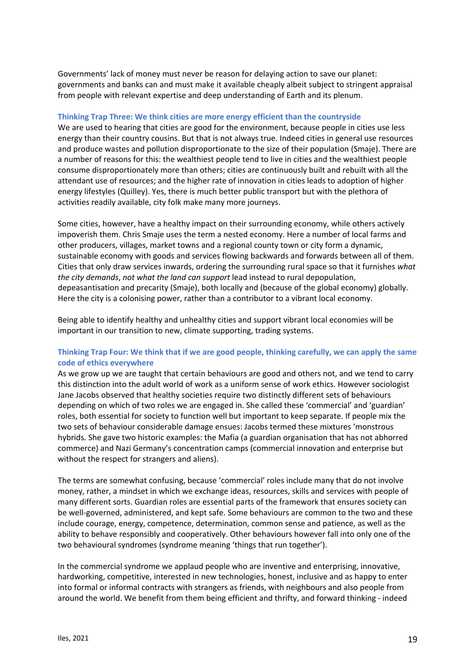Governments' lack of money must never be reason for delaying action to save our planet: governments and banks can and must make it available cheaply albeit subject to stringent appraisal from people with relevant expertise and deep understanding of Earth and its plenum.

## **Thinking Trap Three: We think cities are more energy efficient than the countryside**

We are used to hearing that cities are good for the environment, because people in cities use less energy than their country cousins. But that is not always true. Indeed cities in general use resources and produce wastes and pollution disproportionate to the size of their population (Smaje). There are a number of reasons for this: the wealthiest people tend to live in cities and the wealthiest people consume disproportionately more than others; cities are continuously built and rebuilt with all the attendant use of resources; and the higher rate of innovation in cities leads to adoption of higher energy lifestyles (Quilley). Yes, there is much better public transport but with the plethora of activities readily available, city folk make many more journeys.

Some cities, however, have a healthy impact on their surrounding economy, while others actively impoverish them. Chris Smaje uses the term a nested economy. Here a number of local farms and other producers, villages, market towns and a regional county town or city form a dynamic, sustainable economy with goods and services flowing backwards and forwards between all of them. Cities that only draw services inwards, ordering the surrounding rural space so that it furnishes *what the city demands*, *not what the land can support* lead instead to rural depopulation, depeasantisation and precarity (Smaje), both locally and (because of the global economy) globally. Here the city is a colonising power, rather than a contributor to a vibrant local economy.

Being able to identify healthy and unhealthy cities and support vibrant local economies will be important in our transition to new, climate supporting, trading systems.

# **Thinking Trap Four: We think that if we are good people, thinking carefully, we can apply the same code of ethics everywhere**

As we grow up we are taught that certain behaviours are good and others not, and we tend to carry this distinction into the adult world of work as a uniform sense of work ethics. However sociologist Jane Jacobs observed that healthy societies require two distinctly different sets of behaviours depending on which of two roles we are engaged in. She called these 'commercial' and 'guardian' roles, both essential for society to function well but important to keep separate. If people mix the two sets of behaviour considerable damage ensues: Jacobs termed these mixtures 'monstrous hybrids. She gave two historic examples: the Mafia (a guardian organisation that has not abhorred commerce) and Nazi Germany's concentration camps (commercial innovation and enterprise but without the respect for strangers and aliens).

The terms are somewhat confusing, because 'commercial' roles include many that do not involve money, rather, a mindset in which we exchange ideas, resources, skills and services with people of many different sorts. Guardian roles are essential parts of the framework that ensures society can be well-governed, administered, and kept safe. Some behaviours are common to the two and these include courage, energy, competence, determination, common sense and patience, as well as the ability to behave responsibly and cooperatively. Other behaviours however fall into only one of the two behavioural syndromes (syndrome meaning 'things that run together').

In the commercial syndrome we applaud people who are inventive and enterprising, innovative, hardworking, competitive, interested in new technologies, honest, inclusive and as happy to enter into formal or informal contracts with strangers as friends, with neighbours and also people from around the world. We benefit from them being efficient and thrifty, and forward thinking - indeed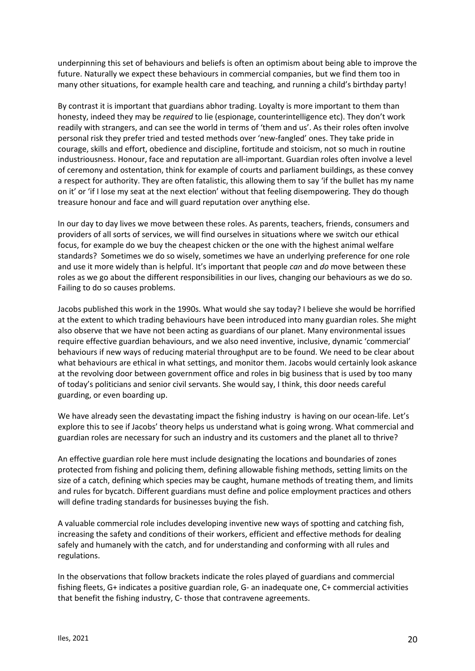underpinning this set of behaviours and beliefs is often an optimism about being able to improve the future. Naturally we expect these behaviours in commercial companies, but we find them too in many other situations, for example health care and teaching, and running a child's birthday party!

By contrast it is important that guardians abhor trading. Loyalty is more important to them than honesty, indeed they may be *required* to lie (espionage, counterintelligence etc). They don't work readily with strangers, and can see the world in terms of 'them and us'. As their roles often involve personal risk they prefer tried and tested methods over 'new-fangled' ones. They take pride in courage, skills and effort, obedience and discipline, fortitude and stoicism, not so much in routine industriousness. Honour, face and reputation are all-important. Guardian roles often involve a level of ceremony and ostentation, think for example of courts and parliament buildings, as these convey a respect for authority. They are often fatalistic, this allowing them to say 'if the bullet has my name on it' or 'if I lose my seat at the next election' without that feeling disempowering. They do though treasure honour and face and will guard reputation over anything else.

In our day to day lives we move between these roles. As parents, teachers, friends, consumers and providers of all sorts of services, we will find ourselves in situations where we switch our ethical focus, for example do we buy the cheapest chicken or the one with the highest animal welfare standards? Sometimes we do so wisely, sometimes we have an underlying preference for one role and use it more widely than is helpful. It's important that people *can* and *do* move between these roles as we go about the different responsibilities in our lives, changing our behaviours as we do so. Failing to do so causes problems.

Jacobs published this work in the 1990s. What would she say today? I believe she would be horrified at the extent to which trading behaviours have been introduced into many guardian roles. She might also observe that we have not been acting as guardians of our planet. Many environmental issues require effective guardian behaviours, and we also need inventive, inclusive, dynamic 'commercial' behaviours if new ways of reducing material throughput are to be found. We need to be clear about what behaviours are ethical in what settings, and monitor them. Jacobs would certainly look askance at the revolving door between government office and roles in big business that is used by too many of today's politicians and senior civil servants. She would say, I think, this door needs careful guarding, or even boarding up.

We have already seen the devastating impact the fishing industry is having on our ocean-life. Let's explore this to see if Jacobs' theory helps us understand what is going wrong. What commercial and guardian roles are necessary for such an industry and its customers and the planet all to thrive?

An effective guardian role here must include designating the locations and boundaries of zones protected from fishing and policing them, defining allowable fishing methods, setting limits on the size of a catch, defining which species may be caught, humane methods of treating them, and limits and rules for bycatch. Different guardians must define and police employment practices and others will define trading standards for businesses buying the fish.

A valuable commercial role includes developing inventive new ways of spotting and catching fish, increasing the safety and conditions of their workers, efficient and effective methods for dealing safely and humanely with the catch, and for understanding and conforming with all rules and regulations.

In the observations that follow brackets indicate the roles played of guardians and commercial fishing fleets, G+ indicates a positive guardian role, G- an inadequate one, C+ commercial activities that benefit the fishing industry, C- those that contravene agreements.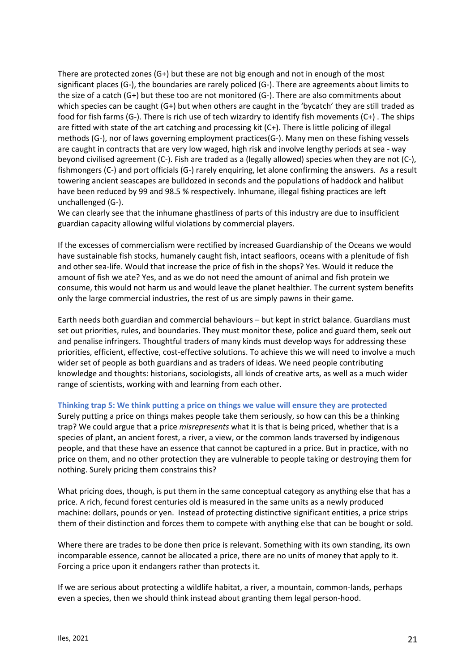There are protected zones (G+) but these are not big enough and not in enough of the most significant places (G-), the boundaries are rarely policed (G-). There are agreements about limits to the size of a catch (G+) but these too are not monitored (G-). There are also commitments about which species can be caught (G+) but when others are caught in the 'bycatch' they are still traded as food for fish farms (G-). There is rich use of tech wizardry to identify fish movements (C+) . The ships are fitted with state of the art catching and processing kit (C+). There is little policing of illegal methods (G-), nor of laws governing employment practices(G-). Many men on these fishing vessels are caught in contracts that are very low waged, high risk and involve lengthy periods at sea - way beyond civilised agreement (C-). Fish are traded as a (legally allowed) species when they are not (C-), fishmongers (C-) and port officials (G-) rarely enquiring, let alone confirming the answers. As a result towering ancient seascapes are bulldozed in seconds and the populations of haddock and halibut have been reduced by 99 and 98.5 % respectively. Inhumane, illegal fishing practices are left unchallenged (G-).

We can clearly see that the inhumane ghastliness of parts of this industry are due to insufficient guardian capacity allowing wilful violations by commercial players.

If the excesses of commercialism were rectified by increased Guardianship of the Oceans we would have sustainable fish stocks, humanely caught fish, intact seafloors, oceans with a plenitude of fish and other sea-life. Would that increase the price of fish in the shops? Yes. Would it reduce the amount of fish we ate? Yes, and as we do not need the amount of animal and fish protein we consume, this would not harm us and would leave the planet healthier. The current system benefits only the large commercial industries, the rest of us are simply pawns in their game.

Earth needs both guardian and commercial behaviours – but kept in strict balance. Guardians must set out priorities, rules, and boundaries. They must monitor these, police and guard them, seek out and penalise infringers. Thoughtful traders of many kinds must develop ways for addressing these priorities, efficient, effective, cost-effective solutions. To achieve this we will need to involve a much wider set of people as both guardians and as traders of ideas. We need people contributing knowledge and thoughts: historians, sociologists, all kinds of creative arts, as well as a much wider range of scientists, working with and learning from each other.

#### **Thinking trap 5: We think putting a price on things we value will ensure they are protected**

Surely putting a price on things makes people take them seriously, so how can this be a thinking trap? We could argue that a price *misrepresents* what it is that is being priced, whether that is a species of plant, an ancient forest, a river, a view, or the common lands traversed by indigenous people, and that these have an essence that cannot be captured in a price. But in practice, with no price on them, and no other protection they are vulnerable to people taking or destroying them for nothing. Surely pricing them constrains this?

What pricing does, though, is put them in the same conceptual category as anything else that has a price. A rich, fecund forest centuries old is measured in the same units as a newly produced machine: dollars, pounds or yen. Instead of protecting distinctive significant entities, a price strips them of their distinction and forces them to compete with anything else that can be bought or sold.

Where there are trades to be done then price is relevant. Something with its own standing, its own incomparable essence, cannot be allocated a price, there are no units of money that apply to it. Forcing a price upon it endangers rather than protects it.

If we are serious about protecting a wildlife habitat, a river, a mountain, common-lands, perhaps even a species, then we should think instead about granting them legal person-hood.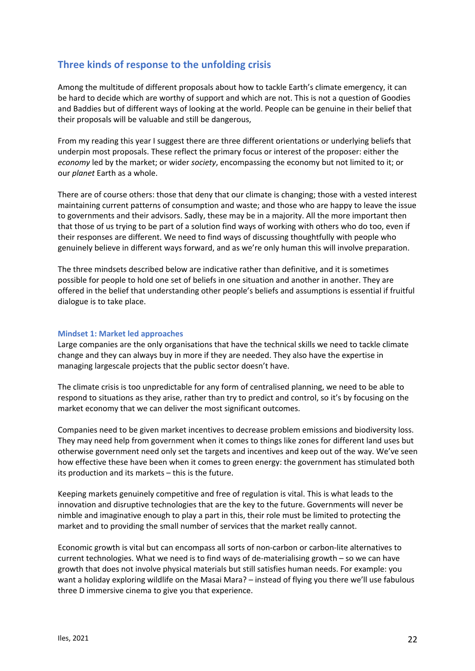# **Three kinds of response to the unfolding crisis**

Among the multitude of different proposals about how to tackle Earth's climate emergency, it can be hard to decide which are worthy of support and which are not. This is not a question of Goodies and Baddies but of different ways of looking at the world. People can be genuine in their belief that their proposals will be valuable and still be dangerous,

From my reading this year I suggest there are three different orientations or underlying beliefs that underpin most proposals. These reflect the primary focus or interest of the proposer: either the *economy* led by the market; or wider *society*, encompassing the economy but not limited to it; or our *planet* Earth as a whole.

There are of course others: those that deny that our climate is changing; those with a vested interest maintaining current patterns of consumption and waste; and those who are happy to leave the issue to governments and their advisors. Sadly, these may be in a majority. All the more important then that those of us trying to be part of a solution find ways of working with others who do too, even if their responses are different. We need to find ways of discussing thoughtfully with people who genuinely believe in different ways forward, and as we're only human this will involve preparation.

The three mindsets described below are indicative rather than definitive, and it is sometimes possible for people to hold one set of beliefs in one situation and another in another. They are offered in the belief that understanding other people's beliefs and assumptions is essential if fruitful dialogue is to take place.

#### **Mindset 1: Market led approaches**

Large companies are the only organisations that have the technical skills we need to tackle climate change and they can always buy in more if they are needed. They also have the expertise in managing largescale projects that the public sector doesn't have.

The climate crisis is too unpredictable for any form of centralised planning, we need to be able to respond to situations as they arise, rather than try to predict and control, so it's by focusing on the market economy that we can deliver the most significant outcomes.

Companies need to be given market incentives to decrease problem emissions and biodiversity loss. They may need help from government when it comes to things like zones for different land uses but otherwise government need only set the targets and incentives and keep out of the way. We've seen how effective these have been when it comes to green energy: the government has stimulated both its production and its markets – this is the future.

Keeping markets genuinely competitive and free of regulation is vital. This is what leads to the innovation and disruptive technologies that are the key to the future. Governments will never be nimble and imaginative enough to play a part in this, their role must be limited to protecting the market and to providing the small number of services that the market really cannot.

Economic growth is vital but can encompass all sorts of non-carbon or carbon-lite alternatives to current technologies. What we need is to find ways of de-materialising growth – so we can have growth that does not involve physical materials but still satisfies human needs. For example: you want a holiday exploring wildlife on the Masai Mara? – instead of flying you there we'll use fabulous three D immersive cinema to give you that experience.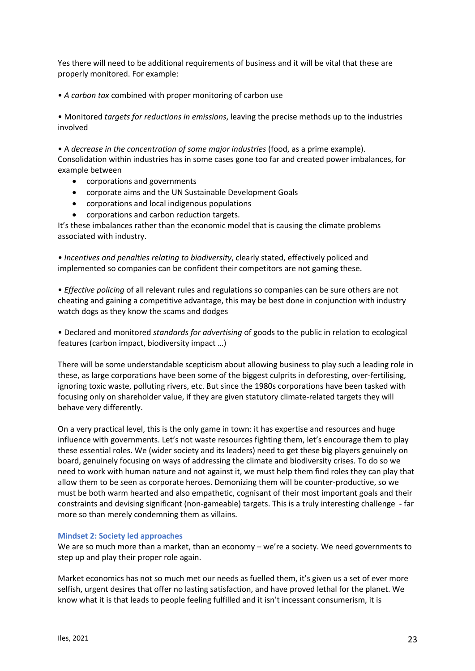Yes there will need to be additional requirements of business and it will be vital that these are properly monitored. For example:

• *A carbon tax* combined with proper monitoring of carbon use

• Monitored *targets for reductions in emissions*, leaving the precise methods up to the industries involved

• A *decrease in the concentration of some major industries* (food, as a prime example). Consolidation within industries has in some cases gone too far and created power imbalances, for example between

- corporations and governments
- corporate aims and the UN Sustainable Development Goals
- corporations and local indigenous populations
- corporations and carbon reduction targets.

It's these imbalances rather than the economic model that is causing the climate problems associated with industry.

*• Incentives and penalties relating to biodiversity*, clearly stated, effectively policed and implemented so companies can be confident their competitors are not gaming these.

• *Effective policing* of all relevant rules and regulations so companies can be sure others are not cheating and gaining a competitive advantage, this may be best done in conjunction with industry watch dogs as they know the scams and dodges

• Declared and monitored *standards for advertising* of goods to the public in relation to ecological features (carbon impact, biodiversity impact …)

There will be some understandable scepticism about allowing business to play such a leading role in these, as large corporations have been some of the biggest culprits in deforesting, over-fertilising, ignoring toxic waste, polluting rivers, etc. But since the 1980s corporations have been tasked with focusing only on shareholder value, if they are given statutory climate-related targets they will behave very differently.

On a very practical level, this is the only game in town: it has expertise and resources and huge influence with governments. Let's not waste resources fighting them, let's encourage them to play these essential roles. We (wider society and its leaders) need to get these big players genuinely on board, genuinely focusing on ways of addressing the climate and biodiversity crises. To do so we need to work with human nature and not against it, we must help them find roles they can play that allow them to be seen as corporate heroes. Demonizing them will be counter-productive, so we must be both warm hearted and also empathetic, cognisant of their most important goals and their constraints and devising significant (non-gameable) targets. This is a truly interesting challenge - far more so than merely condemning them as villains.

## **Mindset 2: Society led approaches**

We are so much more than a market, than an economy – we're a society. We need governments to step up and play their proper role again.

Market economics has not so much met our needs as fuelled them, it's given us a set of ever more selfish, urgent desires that offer no lasting satisfaction, and have proved lethal for the planet. We know what it is that leads to people feeling fulfilled and it isn't incessant consumerism, it is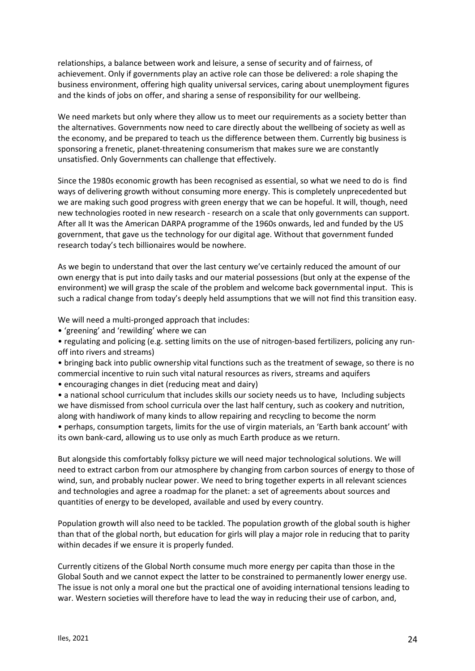relationships, a balance between work and leisure, a sense of security and of fairness, of achievement. Only if governments play an active role can those be delivered: a role shaping the business environment, offering high quality universal services, caring about unemployment figures and the kinds of jobs on offer, and sharing a sense of responsibility for our wellbeing.

We need markets but only where they allow us to meet our requirements as a society better than the alternatives. Governments now need to care directly about the wellbeing of society as well as the economy, and be prepared to teach us the difference between them. Currently big business is sponsoring a frenetic, planet-threatening consumerism that makes sure we are constantly unsatisfied. Only Governments can challenge that effectively.

Since the 1980s economic growth has been recognised as essential, so what we need to do is find ways of delivering growth without consuming more energy. This is completely unprecedented but we are making such good progress with green energy that we can be hopeful. It will, though, need new technologies rooted in new research - research on a scale that only governments can support. After all It was the American DARPA programme of the 1960s onwards, led and funded by the US government, that gave us the technology for our digital age. Without that government funded research today's tech billionaires would be nowhere.

As we begin to understand that over the last century we've certainly reduced the amount of our own energy that is put into daily tasks and our material possessions (but only at the expense of the environment) we will grasp the scale of the problem and welcome back governmental input. This is such a radical change from today's deeply held assumptions that we will not find this transition easy.

We will need a multi-pronged approach that includes:

• 'greening' and 'rewilding' where we can

• regulating and policing (e.g. setting limits on the use of nitrogen-based fertilizers, policing any runoff into rivers and streams)

• bringing back into public ownership vital functions such as the treatment of sewage, so there is no commercial incentive to ruin such vital natural resources as rivers, streams and aquifers

• encouraging changes in diet (reducing meat and dairy)

• a national school curriculum that includes skills our society needs us to have, Including subjects we have dismissed from school curricula over the last half century, such as cookery and nutrition, along with handiwork of many kinds to allow repairing and recycling to become the norm

• perhaps, consumption targets, limits for the use of virgin materials, an 'Earth bank account' with its own bank-card, allowing us to use only as much Earth produce as we return.

But alongside this comfortably folksy picture we will need major technological solutions. We will need to extract carbon from our atmosphere by changing from carbon sources of energy to those of wind, sun, and probably nuclear power. We need to bring together experts in all relevant sciences and technologies and agree a roadmap for the planet: a set of agreements about sources and quantities of energy to be developed, available and used by every country.

Population growth will also need to be tackled. The population growth of the global south is higher than that of the global north, but education for girls will play a major role in reducing that to parity within decades if we ensure it is properly funded.

Currently citizens of the Global North consume much more energy per capita than those in the Global South and we cannot expect the latter to be constrained to permanently lower energy use. The issue is not only a moral one but the practical one of avoiding international tensions leading to war. Western societies will therefore have to lead the way in reducing their use of carbon, and,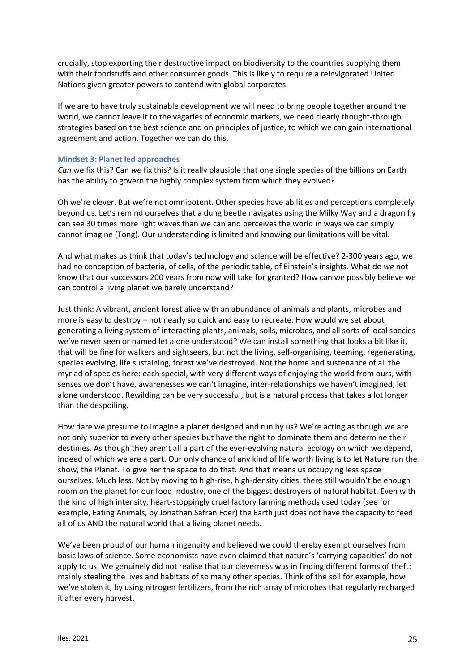crucially, stop exporting their destructive impact on biodiversity to the countries supplying them with their foodstuffs and other consumer goods. This is likely to require a reinvigorated United Nations given greater powers to contend with global corporates.

If we are to have truly sustainable development we will need to bring people together around the world, we cannot leave it to the vagaries of economic markets, we need clearly thought-through strategies based on the best science and on principles of justice, to which we can gain international agreement and action. Together we can do this.

#### **Mindset 3: Planet led approaches**

*Can* we fix this? Can *we* fix this? Is it really plausible that one single species of the billions on Earth has the ability to govern the highly complex system from which they evolved?

Oh we're clever. But we're not omnipotent. Other species have abilities and perceptions completely beyond us. Let's remind ourselves that a dung beetle navigates using the Milky Way and a dragon fly can see 30 times more light waves than we can and perceives the world in ways we can simply cannot imagine (Tong). Our understanding is limited and knowing our limitations will be vital.

And what makes us think that today's technology and science will be effective? 2-300 years ago, we had no conception of bacteria, of cells, of the periodic table, of Einstein's insights. What do *we* not know that our successors 200 years from now will take for granted? How can we possibly believe we can control a living planet we barely understand?

Just think: A vibrant, ancient forest alive with an abundance of animals and plants, microbes and more is easy to destroy – not nearly so quick and easy to recreate. How would we set about generating a living system of interacting plants, animals, soils, microbes, and all sorts of local species we've never seen or named let alone understood? We can install something that looks a bit like it, that will be fine for walkers and sightseers, but not the living, self-organising, teeming, regenerating, species evolving, life sustaining, forest we've destroyed. Not the home and sustenance of all the myriad of species here: each special, with very different ways of enjoying the world from ours, with senses we don't have, awarenesses we can't imagine, inter-relationships we haven't imagined, let alone understood. Rewilding can be very successful, but is a natural process that takes a lot longer than the despoiling.

How dare we presume to imagine a planet designed and run by us? We're acting as though we are not only superior to every other species but have the right to dominate them and determine their destinies. As though they aren't all a part of the ever-evolving natural ecology on which we depend, indeed of which we are a part. Our only chance of any kind of life worth living is to let Nature run the show, the Planet. To give her the space to do that. And that means us occupying less space ourselves. Much less. Not by moving to high-rise, high-density cities, there still wouldn't be enough room on the planet for our food industry, one of the biggest destroyers of natural habitat. Even with the kind of high intensity, heart-stoppingly cruel factory farming methods used today (see for example, Eating Animals, by Jonathan Safran Foer) the Earth just does not have the capacity to feed all of us AND the natural world that a living planet needs.

We've been proud of our human ingenuity and believed we could thereby exempt ourselves from basic laws of science. Some economists have even claimed that nature's 'carrying capacities' do not apply to us. We genuinely did not realise that our cleverness was in finding different forms of theft: mainly stealing the lives and habitats of so many other species. Think of the soil for example, how we've stolen it, by using nitrogen fertilizers, from the rich array of microbes that regularly recharged it after every harvest.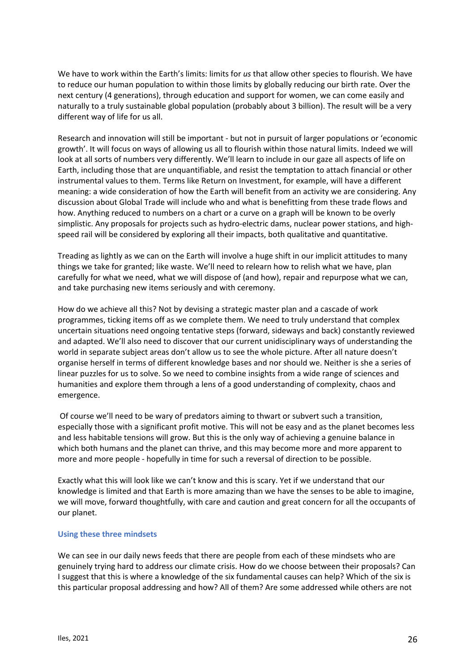We have to work within the Earth's limits: limits for *us* that allow other species to flourish. We have to reduce our human population to within those limits by globally reducing our birth rate. Over the next century (4 generations), through education and support for women, we can come easily and naturally to a truly sustainable global population (probably about 3 billion). The result will be a very different way of life for us all.

Research and innovation will still be important - but not in pursuit of larger populations or 'economic growth'. It will focus on ways of allowing us all to flourish within those natural limits. Indeed we will look at all sorts of numbers very differently. We'll learn to include in our gaze all aspects of life on Earth, including those that are unquantifiable, and resist the temptation to attach financial or other instrumental values to them. Terms like Return on Investment, for example, will have a different meaning: a wide consideration of how the Earth will benefit from an activity we are considering. Any discussion about Global Trade will include who and what is benefitting from these trade flows and how. Anything reduced to numbers on a chart or a curve on a graph will be known to be overly simplistic. Any proposals for projects such as hydro-electric dams, nuclear power stations, and highspeed rail will be considered by exploring all their impacts, both qualitative and quantitative.

Treading as lightly as we can on the Earth will involve a huge shift in our implicit attitudes to many things we take for granted; like waste. We'll need to relearn how to relish what we have, plan carefully for what we need, what we will dispose of (and how), repair and repurpose what we can, and take purchasing new items seriously and with ceremony.

How do we achieve all this? Not by devising a strategic master plan and a cascade of work programmes, ticking items off as we complete them. We need to truly understand that complex uncertain situations need ongoing tentative steps (forward, sideways and back) constantly reviewed and adapted. We'll also need to discover that our current unidisciplinary ways of understanding the world in separate subject areas don't allow us to see the whole picture. After all nature doesn't organise herself in terms of different knowledge bases and nor should we. Neither is she a series of linear puzzles for us to solve. So we need to combine insights from a wide range of sciences and humanities and explore them through a lens of a good understanding of complexity, chaos and emergence.

Of course we'll need to be wary of predators aiming to thwart or subvert such a transition, especially those with a significant profit motive. This will not be easy and as the planet becomes less and less habitable tensions will grow. But this is the only way of achieving a genuine balance in which both humans and the planet can thrive, and this may become more and more apparent to more and more people - hopefully in time for such a reversal of direction to be possible.

Exactly what this will look like we can't know and this is scary. Yet if we understand that our knowledge is limited and that Earth is more amazing than we have the senses to be able to imagine, we will move, forward thoughtfully, with care and caution and great concern for all the occupants of our planet.

## **Using these three mindsets**

We can see in our daily news feeds that there are people from each of these mindsets who are genuinely trying hard to address our climate crisis. How do we choose between their proposals? Can I suggest that this is where a knowledge of the six fundamental causes can help? Which of the six is this particular proposal addressing and how? All of them? Are some addressed while others are not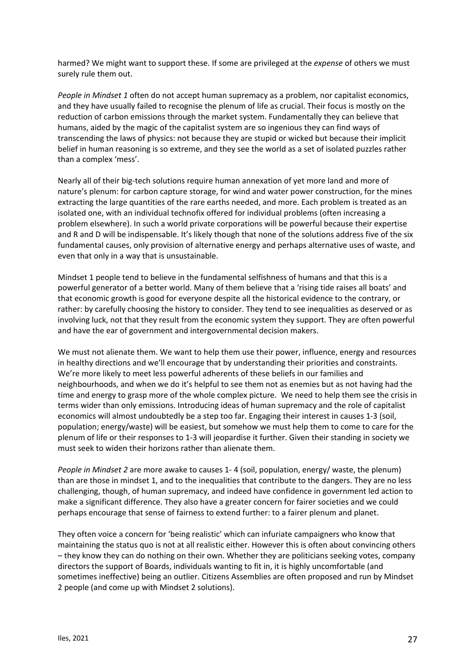harmed? We might want to support these. If some are privileged at the *expense* of others we must surely rule them out.

*People in Mindset 1* often do not accept human supremacy as a problem, nor capitalist economics, and they have usually failed to recognise the plenum of life as crucial. Their focus is mostly on the reduction of carbon emissions through the market system. Fundamentally they can believe that humans, aided by the magic of the capitalist system are so ingenious they can find ways of transcending the laws of physics: not because they are stupid or wicked but because their implicit belief in human reasoning is so extreme, and they see the world as a set of isolated puzzles rather than a complex 'mess'.

Nearly all of their big-tech solutions require human annexation of yet more land and more of nature's plenum: for carbon capture storage, for wind and water power construction, for the mines extracting the large quantities of the rare earths needed, and more. Each problem is treated as an isolated one, with an individual technofix offered for individual problems (often increasing a problem elsewhere). In such a world private corporations will be powerful because their expertise and R and D will be indispensable. It's likely though that none of the solutions address five of the six fundamental causes, only provision of alternative energy and perhaps alternative uses of waste, and even that only in a way that is unsustainable.

Mindset 1 people tend to believe in the fundamental selfishness of humans and that this is a powerful generator of a better world. Many of them believe that a 'rising tide raises all boats' and that economic growth is good for everyone despite all the historical evidence to the contrary, or rather: by carefully choosing the history to consider. They tend to see inequalities as deserved or as involving luck, not that they result from the economic system they support. They are often powerful and have the ear of government and intergovernmental decision makers.

We must not alienate them. We want to help them use their power, influence, energy and resources in healthy directions and we'll encourage that by understanding their priorities and constraints. We're more likely to meet less powerful adherents of these beliefs in our families and neighbourhoods, and when we do it's helpful to see them not as enemies but as not having had the time and energy to grasp more of the whole complex picture. We need to help them see the crisis in terms wider than only emissions. Introducing ideas of human supremacy and the role of capitalist economics will almost undoubtedly be a step too far. Engaging their interest in causes 1-3 (soil, population; energy/waste) will be easiest, but somehow we must help them to come to care for the plenum of life or their responses to 1-3 will jeopardise it further. Given their standing in society we must seek to widen their horizons rather than alienate them.

*People in Mindset 2* are more awake to causes 1- 4 (soil, population, energy/ waste, the plenum) than are those in mindset 1, and to the inequalities that contribute to the dangers. They are no less challenging, though, of human supremacy, and indeed have confidence in government led action to make a significant difference. They also have a greater concern for fairer societies and we could perhaps encourage that sense of fairness to extend further: to a fairer plenum and planet.

They often voice a concern for 'being realistic' which can infuriate campaigners who know that maintaining the status quo is not at all realistic either. However this is often about convincing others – they know they can do nothing on their own. Whether they are politicians seeking votes, company directors the support of Boards, individuals wanting to fit in, it is highly uncomfortable (and sometimes ineffective) being an outlier. Citizens Assemblies are often proposed and run by Mindset 2 people (and come up with Mindset 2 solutions).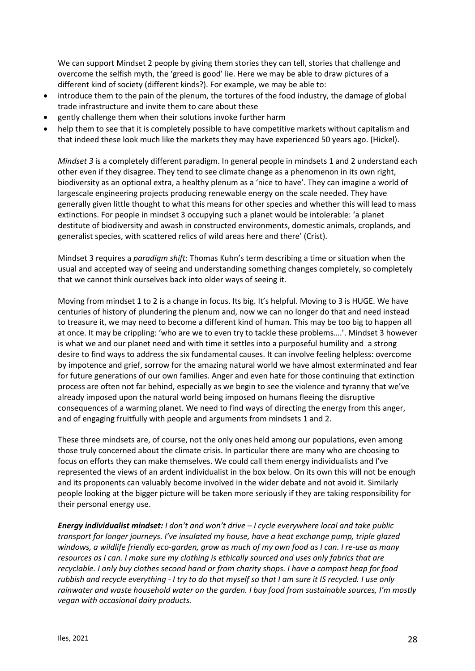We can support Mindset 2 people by giving them stories they can tell, stories that challenge and overcome the selfish myth, the 'greed is good' lie. Here we may be able to draw pictures of a different kind of society (different kinds?). For example, we may be able to:

- introduce them to the pain of the plenum, the tortures of the food industry, the damage of global trade infrastructure and invite them to care about these
- gently challenge them when their solutions invoke further harm
- help them to see that it is completely possible to have competitive markets without capitalism and that indeed these look much like the markets they may have experienced 50 years ago. (Hickel).

*Mindset 3* is a completely different paradigm. In general people in mindsets 1 and 2 understand each other even if they disagree. They tend to see climate change as a phenomenon in its own right, biodiversity as an optional extra, a healthy plenum as a 'nice to have'. They can imagine a world of largescale engineering projects producing renewable energy on the scale needed. They have generally given little thought to what this means for other species and whether this will lead to mass extinctions. For people in mindset 3 occupying such a planet would be intolerable: 'a planet destitute of biodiversity and awash in constructed environments, domestic animals, croplands, and generalist species, with scattered relics of wild areas here and there' (Crist).

Mindset 3 requires a *paradigm shift*: Thomas Kuhn's term describing a time or situation when the usual and accepted way of seeing and understanding something changes completely, so completely that we cannot think ourselves back into older ways of seeing it.

Moving from mindset 1 to 2 is a change in focus. Its big. It's helpful. Moving to 3 is HUGE. We have centuries of history of plundering the plenum and, now we can no longer do that and need instead to treasure it, we may need to become a different kind of human. This may be too big to happen all at once. It may be crippling: 'who are we to even try to tackle these problems….'. Mindset 3 however is what we and our planet need and with time it settles into a purposeful humility and a strong desire to find ways to address the six fundamental causes. It can involve feeling helpless: overcome by impotence and grief, sorrow for the amazing natural world we have almost exterminated and fear for future generations of our own families. Anger and even hate for those continuing that extinction process are often not far behind, especially as we begin to see the violence and tyranny that we've already imposed upon the natural world being imposed on humans fleeing the disruptive consequences of a warming planet. We need to find ways of directing the energy from this anger, and of engaging fruitfully with people and arguments from mindsets 1 and 2.

These three mindsets are, of course, not the only ones held among our populations, even among those truly concerned about the climate crisis. In particular there are many who are choosing to focus on efforts they can make themselves. We could call them energy individualists and I've represented the views of an ardent individualist in the box below. On its own this will not be enough and its proponents can valuably become involved in the wider debate and not avoid it. Similarly people looking at the bigger picture will be taken more seriously if they are taking responsibility for their personal energy use.

*Energy individualist mindset: I don't and won't drive – I cycle everywhere local and take public transport for longer journeys. I've insulated my house, have a heat exchange pump, triple glazed windows, a wildlife friendly eco-garden, grow as much of my own food as I can. I re-use as many resources as I can. I make sure my clothing is ethically sourced and uses only fabrics that are recyclable. I only buy clothes second hand or from charity shops. I have a compost heap for food rubbish and recycle everything - I try to do that myself so that I am sure it IS recycled. I use only rainwater and waste household water on the garden. I buy food from sustainable sources, I'm mostly vegan with occasional dairy products.*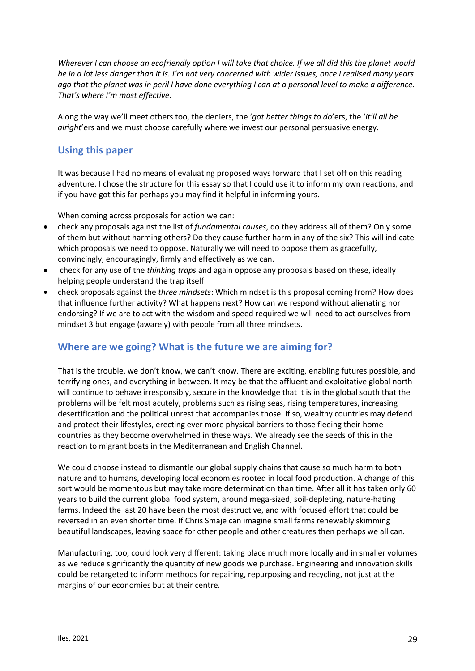*Wherever I can choose an ecofriendly option I will take that choice. If we all did this the planet would be in a lot less danger than it is. I'm not very concerned with wider issues, once I realised many years ago that the planet was in peril I have done everything I can at a personal level to make a difference. That's where I'm most effective.*

Along the way we'll meet others too, the deniers, the '*got better things to do*'ers, the '*it'll all be alright*'ers and we must choose carefully where we invest our personal persuasive energy.

# **Using this paper**

It was because I had no means of evaluating proposed ways forward that I set off on this reading adventure. I chose the structure for this essay so that I could use it to inform my own reactions, and if you have got this far perhaps you may find it helpful in informing yours.

When coming across proposals for action we can:

- check any proposals against the list of *fundamental causes*, do they address all of them? Only some of them but without harming others? Do they cause further harm in any of the six? This will indicate which proposals we need to oppose. Naturally we will need to oppose them as gracefully, convincingly, encouragingly, firmly and effectively as we can.
- check for any use of the *thinking traps* and again oppose any proposals based on these, ideally helping people understand the trap itself
- check proposals against the *three mindsets*: Which mindset is this proposal coming from? How does that influence further activity? What happens next? How can we respond without alienating nor endorsing? If we are to act with the wisdom and speed required we will need to act ourselves from mindset 3 but engage (awarely) with people from all three mindsets.

# **Where are we going? What is the future we are aiming for?**

That is the trouble, we don't know, we can't know. There are exciting, enabling futures possible, and terrifying ones, and everything in between. It may be that the affluent and exploitative global north will continue to behave irresponsibly, secure in the knowledge that it is in the global south that the problems will be felt most acutely, problems such as rising seas, rising temperatures, increasing desertification and the political unrest that accompanies those. If so, wealthy countries may defend and protect their lifestyles, erecting ever more physical barriers to those fleeing their home countries as they become overwhelmed in these ways. We already see the seeds of this in the reaction to migrant boats in the Mediterranean and English Channel.

We could choose instead to dismantle our global supply chains that cause so much harm to both nature and to humans, developing local economies rooted in local food production. A change of this sort would be momentous but may take more determination than time. After all it has taken only 60 years to build the current global food system, around mega-sized, soil-depleting, nature-hating farms. Indeed the last 20 have been the most destructive, and with focused effort that could be reversed in an even shorter time. If Chris Smaje can imagine small farms renewably skimming beautiful landscapes, leaving space for other people and other creatures then perhaps we all can.

Manufacturing, too, could look very different: taking place much more locally and in smaller volumes as we reduce significantly the quantity of new goods we purchase. Engineering and innovation skills could be retargeted to inform methods for repairing, repurposing and recycling, not just at the margins of our economies but at their centre.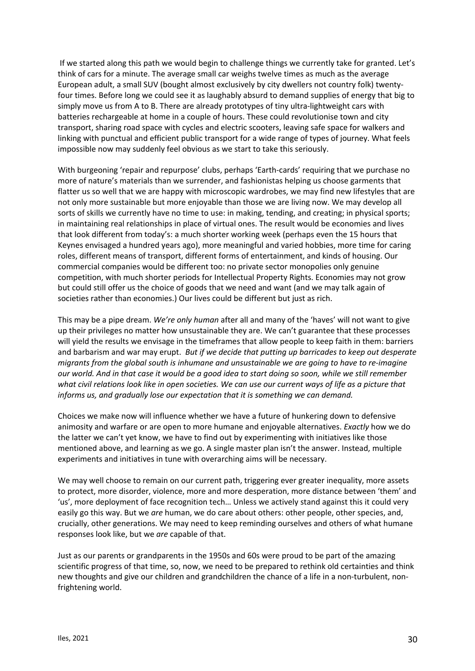If we started along this path we would begin to challenge things we currently take for granted. Let's think of cars for a minute. The average small car weighs twelve times as much as the average European adult, a small SUV (bought almost exclusively by city dwellers not country folk) twentyfour times. Before long we could see it as laughably absurd to demand supplies of energy that big to simply move us from A to B. There are already prototypes of tiny ultra-lightweight cars with batteries rechargeable at home in a couple of hours. These could revolutionise town and city transport, sharing road space with cycles and electric scooters, leaving safe space for walkers and linking with punctual and efficient public transport for a wide range of types of journey. What feels impossible now may suddenly feel obvious as we start to take this seriously.

With burgeoning 'repair and repurpose' clubs, perhaps 'Earth-cards' requiring that we purchase no more of nature's materials than we surrender, and fashionistas helping us choose garments that flatter us so well that we are happy with microscopic wardrobes, we may find new lifestyles that are not only more sustainable but more enjoyable than those we are living now. We may develop all sorts of skills we currently have no time to use: in making, tending, and creating; in physical sports; in maintaining real relationships in place of virtual ones. The result would be economies and lives that look different from today's: a much shorter working week (perhaps even the 15 hours that Keynes envisaged a hundred years ago), more meaningful and varied hobbies, more time for caring roles, different means of transport, different forms of entertainment, and kinds of housing. Our commercial companies would be different too: no private sector monopolies only genuine competition, with much shorter periods for Intellectual Property Rights. Economies may not grow but could still offer us the choice of goods that we need and want (and we may talk again of societies rather than economies.) Our lives could be different but just as rich.

This may be a pipe dream. *We're only human* after all and many of the 'haves' will not want to give up their privileges no matter how unsustainable they are. We can't guarantee that these processes will yield the results we envisage in the timeframes that allow people to keep faith in them: barriers and barbarism and war may erupt. *But if we decide that putting up barricades to keep out desperate migrants from the global south is inhumane and unsustainable we are going to have to re-imagine our world. And in that case it would be a good idea to start doing so soon, while we still remember what civil relations look like in open societies. We can use our current ways of life as a picture that informs us, and gradually lose our expectation that it is something we can demand.*

Choices we make now will influence whether we have a future of hunkering down to defensive animosity and warfare or are open to more humane and enjoyable alternatives. *Exactly* how we do the latter we can't yet know, we have to find out by experimenting with initiatives like those mentioned above, and learning as we go. A single master plan isn't the answer. Instead, multiple experiments and initiatives in tune with overarching aims will be necessary.

We may well choose to remain on our current path, triggering ever greater inequality, more assets to protect, more disorder, violence, more and more desperation, more distance between 'them' and 'us', more deployment of face recognition tech… Unless we actively stand against this it could very easily go this way. But we *are* human, we do care about others: other people, other species, and, crucially, other generations. We may need to keep reminding ourselves and others of what humane responses look like, but we *are* capable of that.

Just as our parents or grandparents in the 1950s and 60s were proud to be part of the amazing scientific progress of that time, so, now, we need to be prepared to rethink old certainties and think new thoughts and give our children and grandchildren the chance of a life in a non-turbulent, nonfrightening world.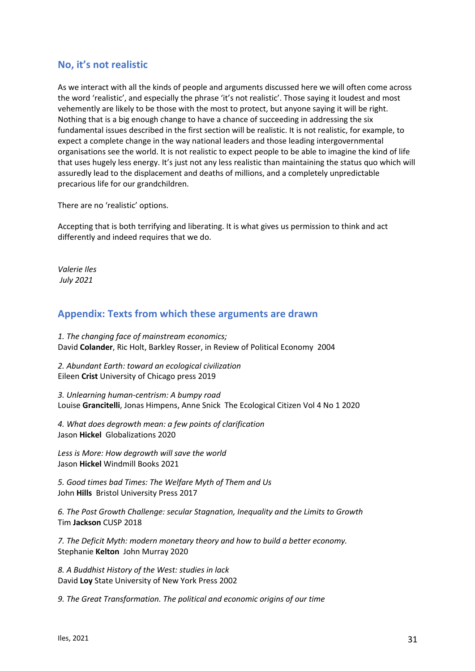# **No, it's not realistic**

As we interact with all the kinds of people and arguments discussed here we will often come across the word 'realistic', and especially the phrase 'it's not realistic'. Those saying it loudest and most vehemently are likely to be those with the most to protect, but anyone saying it will be right. Nothing that is a big enough change to have a chance of succeeding in addressing the six fundamental issues described in the first section will be realistic. It is not realistic, for example, to expect a complete change in the way national leaders and those leading intergovernmental organisations see the world. It is not realistic to expect people to be able to imagine the kind of life that uses hugely less energy. It's just not any less realistic than maintaining the status quo which will assuredly lead to the displacement and deaths of millions, and a completely unpredictable precarious life for our grandchildren.

There are no 'realistic' options.

Accepting that is both terrifying and liberating. It is what gives us permission to think and act differently and indeed requires that we do.

*Valerie Iles July 2021*

# **Appendix: Texts from which these arguments are drawn**

*1. The changing face of mainstream economics;*  David **Colander**, Ric Holt, Barkley Rosser, in Review of Political Economy 2004

*2. Abundant Earth: toward an ecological civilization* Eileen **Crist** University of Chicago press 2019

*3. Unlearning human-centrism: A bumpy road* Louise **Grancitelli**, Jonas Himpens, Anne Snick The Ecological Citizen Vol 4 No 1 2020

*4. What does degrowth mean: a few points of clarification* Jason **Hickel** Globalizations 2020

*Less is More: How degrowth will save the world* Jason **Hickel** Windmill Books 2021

*5. Good times bad Times: The Welfare Myth of Them and Us* John **Hills** Bristol University Press 2017

*6. The Post Growth Challenge: secular Stagnation, Inequality and the Limits to Growth* Tim **Jackson** CUSP 2018

*7. The Deficit Myth: modern monetary theory and how to build a better economy.*  Stephanie **Kelton** John Murray 2020

*8. A Buddhist History of the West: studies in lack* David **Loy** State University of New York Press 2002

*9. The Great Transformation. The political and economic origins of our time*